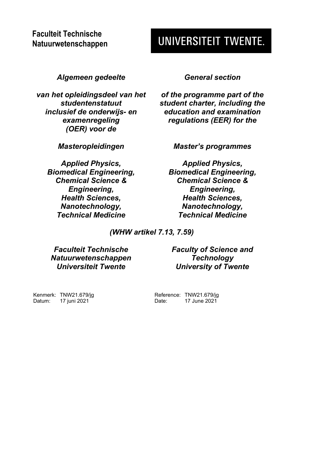# **UNIVERSITEIT TWENTE.**

*Algemeen gedeelte General section*

*van het opleidingsdeel van het studentenstatuut inclusief de onderwijs- en examenregeling (OER) voor de*

*Applied Physics, Biomedical Engineering, Chemical Science & Engineering, Health Sciences, Nanotechnology, Technical Medicine*

*of the programme part of the student charter, including the education and examination regulations (EER) for the*

*Masteropleidingen Master's programmes*

*Applied Physics, Biomedical Engineering, Chemical Science & Engineering, Health Sciences, Nanotechnology, Technical Medicine*

*(WHW artikel 7.13, 7.59)*

*Faculteit Technische Natuurwetenschappen Universiteit Twente*

*Faculty of Science and Technology University of Twente*

Kenmerk: TNW21.679/jg Datum: 17 juni 2021

Reference: TNW21.679/jg<br>Date: 17 June 2021 17 June 2021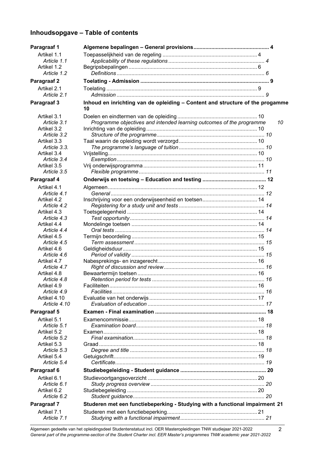# **Inhoudsopgave – Table of contents**

| Paragraaf 1                |                                                                                     |  |    |
|----------------------------|-------------------------------------------------------------------------------------|--|----|
| Artikel 1.1                |                                                                                     |  |    |
| Article 1.1                |                                                                                     |  |    |
| Artikel 1.2                |                                                                                     |  |    |
| Article 1.2                |                                                                                     |  |    |
| Paragraaf 2                |                                                                                     |  |    |
| Artikel 2.1                |                                                                                     |  |    |
| Article 2.1                |                                                                                     |  |    |
| Paragraaf 3                | Inhoud en inrichting van de opleiding - Content and structure of the progamme<br>10 |  |    |
| Artikel 3.1                |                                                                                     |  |    |
| Article 3.1                | Programme objectives and intended learning outcomes of the programme                |  | 10 |
| Artikel 3.2                |                                                                                     |  |    |
| Article 3.2                |                                                                                     |  |    |
| Artikel 3.3                |                                                                                     |  |    |
| Article 3.3.               |                                                                                     |  |    |
| Artikel 3.4                |                                                                                     |  |    |
| Article 3.4                |                                                                                     |  |    |
| Artikel 3.5                |                                                                                     |  |    |
| Article 3.5                |                                                                                     |  |    |
| Paragraaf 4                |                                                                                     |  |    |
| Artikel 4.1                |                                                                                     |  |    |
| Article 4.1                |                                                                                     |  |    |
| Artikel 4.2                |                                                                                     |  |    |
| Article 4.2                |                                                                                     |  |    |
| Artikel 4.3                |                                                                                     |  |    |
| Article 4.3                |                                                                                     |  |    |
| Artikel 4.4<br>Article 4.4 |                                                                                     |  |    |
| Artikel 4.5                |                                                                                     |  |    |
| Article 4.5                |                                                                                     |  |    |
| Artikel 4.6                |                                                                                     |  |    |
| Article 4.6                |                                                                                     |  |    |
| Artikel 4.7                |                                                                                     |  |    |
| Article 4.7                |                                                                                     |  |    |
| Artikel 4.8                |                                                                                     |  |    |
| Article 4.8                |                                                                                     |  |    |
| Artikel 4.9                |                                                                                     |  |    |
| Article 4.9                |                                                                                     |  |    |
| Artikel 4.10               |                                                                                     |  |    |
| Article 4.10               |                                                                                     |  |    |
| Paragraaf 5                |                                                                                     |  |    |
| Artikel 5.1                |                                                                                     |  |    |
| Article 5.1                |                                                                                     |  |    |
| Artikel 5.2                |                                                                                     |  |    |
| Article 5.2                |                                                                                     |  |    |
| Artikel 5.3                |                                                                                     |  |    |
| Article 5.3                |                                                                                     |  |    |
| Artikel 5.4                |                                                                                     |  |    |
| Article 5.4                |                                                                                     |  |    |
| Paragraaf 6                |                                                                                     |  |    |
| Artikel 6.1                |                                                                                     |  |    |
| Article 6.1                |                                                                                     |  |    |
| Artikel 6.2                |                                                                                     |  |    |
| Article 6.2                |                                                                                     |  |    |
| Paragraaf 7                | Studeren met een functiebeperking - Studying with a functional impairment 21        |  |    |
| Artikel 7.1                |                                                                                     |  |    |
| Article 7.1                |                                                                                     |  |    |

Algemeen gedeelte van het opleidingsdeel Studentenstatuut incl. OER Masteropleidingen TNW studiejaar 2021-2022 *General part of the programme-section of the Student Charter incl. EER Master's programmes TNW academic year 2021-2022*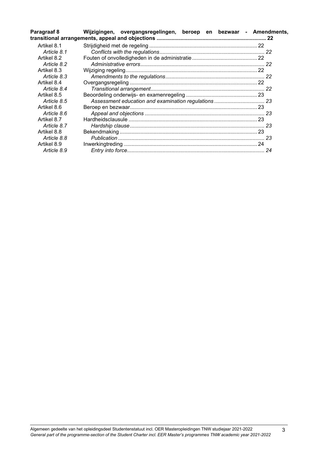| Paragraaf 8 | Wijzigingen, overgangsregelingen, beroep en bezwaar - Amendments, |  |
|-------------|-------------------------------------------------------------------|--|
| Artikel 8.1 |                                                                   |  |
| Article 8.1 |                                                                   |  |
| Artikel 8.2 |                                                                   |  |
| Article 8.2 |                                                                   |  |
| Artikel 8.3 |                                                                   |  |
| Article 8.3 |                                                                   |  |
| Artikel 8.4 |                                                                   |  |
| Article 8.4 |                                                                   |  |
| Artikel 8.5 |                                                                   |  |
| Article 8.5 |                                                                   |  |
| Artikel 8.6 |                                                                   |  |
| Article 8.6 |                                                                   |  |
| Artikel 8.7 |                                                                   |  |
| Article 8.7 |                                                                   |  |
| Artikel 8.8 |                                                                   |  |
| Article 8.8 |                                                                   |  |
| Artikel 8.9 |                                                                   |  |
| Article 8.9 |                                                                   |  |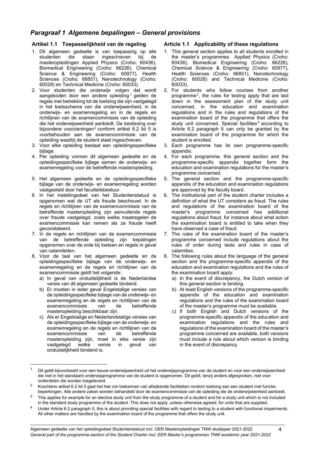# <span id="page-3-0"></span>*Paragraaf 1 Algemene bepalingen – General provisions*

# <span id="page-3-1"></span>**Artikel 1.1 Toepasselijkheid van de regeling**

- 1. Dit algemeen gedeelte is van toepassing op alle studenten die staan ingeschreven bij de masteropleidingen Applied Physics (Croho: 60436), Biomedical Engineering (Croho: 66226), Chemical Science & Engineering (Croho: 60977), Health Sciences (Croho: 66851), Nanotechnology (Croho: 60028) en Technical Medicine (Croho: 60033).
- 2. Voor studenten die onderwijs volgen dat wordt aangeboden door een andere opleiding<sup>[1](#page-3-3)</sup> gelden de regels met betrekking tot de toetsing die zijn vastgelegd in het toetsschema van die onderwijseenheid, in de onderwijs- en examenregeling en in de regels en richtlijnen van de examencommissie van de opleiding die het onderwijseenheid aanbiedt. De beslissing over bijzondere voorzieningen<sup>[2](#page-3-4)</sup> conform artikel 6.2 lid 5 is voorbehouden aan de examencommissie van de opleiding waarbij de student staat ingeschreven.
- 3. Voor elke opleiding bestaat een opleidingsspecifieke bijlage.
- 4. Per opleiding vormen dit algemeen gedeelte en de opleidingsspecifieke bijlage samen de onderwijs- en examenregeling voor de betreffende masteropleiding.
- 5. Het algemeen gedeelte en de opleidingsspecifieke bijlage van de onderwijs- en examenregeling worden vastgesteld door het faculteitsbestuur.
- 6. In het instellingsdeel van het Studentenstatuut is opgenomen wat de UT als fraude beschouwt. In de regels en richtlijnen van de examencommissie van de betreffende masteropleiding zijn aanvullende regels over fraude vastgelegd, zoals welke maatregelen de examencommissie kan nemen als ze fraude heeft geconstateerd.
- 7. In de regels en richtlijnen van de examencommissie van de betreffende opleiding zijn bepalingen opgenomen over de orde bij toetsen en regels in geval van calamiteiten.
- 8. Voor de taal van het algemeen gedeelte en de opleidingsspecifieke bijlage van de onderwijs- en examenregeling en de regels en richtlijnen van de examencommissie geldt het volgende:
	- a) In geval van onduidelijkheid is de Nederlandse versie van dit algemeen gedeelte bindend.
	- b) Er moeten in ieder geval Engelstalige versies van de opleidingsspecifieke bijlage van de onderwijs- en examenregeling en de regels en richtlijnen van de examencommissie masteropleiding beschikbaar zijn.
	- c) Als er Engelstalige en Nederlandstalige versies van de opleidingsspecifieke bijlage van de onderwijs- en examenregeling en de regels en richtlijnen van de examencommissie van de betreffende masteropleiding zijn, moet in elke versie zijn vastgelegd welke versie in geval van onduidelijkheid bindend is.

# <span id="page-3-2"></span>**Article 1.1 Applicability of these regulations**

- 1. This general section applies to all students enrolled in the master's programmes Applied Physics (Croho: 60436), Biomedical Engineering (Croho: 66226), Chemical Science & Engineering (Croho: 60977), Health Sciences (Croho: 66851), Nanotechnology (Croho: 60028) and Technical Medicine (Croho: 60033).
- 2. For students who follow courses from another programme[3](#page-3-5), the rules for testing apply that are laid down in the assessment plan of the study unit concerned, in the education and examination regulations and in the rules and regulations of the examination board of the programme that offers the study unit concerned. Special facilities<sup>[4](#page-3-6)</sup> according to Article 6.2 paragraph 5 can only be granted by the examination board of the programme for which the student is enrolled.
- 3. Each programme has its own programme-specific appendix.
- 4. For each programme, this general section and the programme-specific appendix together form the education and examination regulations for the master's programme concerned.
- 5. The general section and the programme-specific appendix of the education and examination regulations are approved by the faculty board.
- 6. The institutional part of the student charter includes a definition of what the UT considers as fraud. The rules and regulations of the examination board of the master's programme concerned has additional regulations about fraud, for instance about what action the examination board is entitled to take when they have observed a case of fraud.
- 7. The rules of the examination board of the master's programme concerned include regulations about the rules of order during tests and rules in case of calamities.
- 8. The following rules about the language of the general section and the programme-specific appendix of the education and examination regulations and the rules of the examination board apply:
	- a) In the event of discrepancy, the Dutch version of this general section is binding.
	- b) At least English versions of the programme-specific appendix of the education and examination regulations and the rules of the examination board of the master's programme must be available.
	- c) If both English and Dutch versions of the programme-specific appendix of the education and examination regulations and the rules and regulations of the examination board of the master's programme concerned are available, both versions must include a rule about which version is binding in the event of discrepancy.

<span id="page-3-6"></span><sup>4</sup> Under Article 6.2 paragraph 5, this is about providing special facilities with regard to testing to a student with functional impairments. All other matters are handled by the examination board of the programme that offers the study unit.

<span id="page-3-3"></span><sup>1</sup> Dit geldt bijvoorbeeld voor een keuze-onderwijseenheid uit het onderwijsprogramma van de student en voor een onderwijseenheid die niet in het standaard onderwijsprogramma van de student is opgenomen. Dit geldt, tenzij anders afgesproken, niet voor onderdelen die worden toegeleverd.

<span id="page-3-4"></span><sup>2</sup> Krachtens artikel 6.2 lid 5 gaat het hier om toekennen van afwijkende faciliteiten rondom toetsing aan een student met functiebeperkingen. Alle andere zaken worden behandeld door de examencommissie van de opleiding die de onderwijseenheid aanbiedt.

<span id="page-3-5"></span><sup>&</sup>lt;sup>3</sup> This applies for example for an elective study unit from the study programme of a student and for a study unit which is not included in the standard study programme of the student. This does not apply, unless otherwise agreed, for units that are supplied.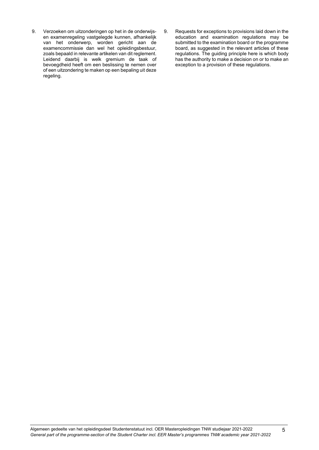- 9. Verzoeken om uitzonderingen op het in de onderwijsen examenregeling vastgelegde kunnen, afhankelijk van het onderwerp, worden gericht aan de examencommissie dan wel het opleidingsbestuur, zoals bepaald in relevante artikelen van dit reglement. Leidend daarbij is welk gremium de taak of bevoegdheid heeft om een beslissing te nemen over of een uitzondering te maken op een bepaling uit deze regeling.
- 9. Requests for exceptions to provisions laid down in the education and examination regulations may be submitted to the examination board or the programme board, as suggested in the relevant articles of these regulations. The guiding principle here is which body has the authority to make a decision on or to make an exception to a provision of these regulations.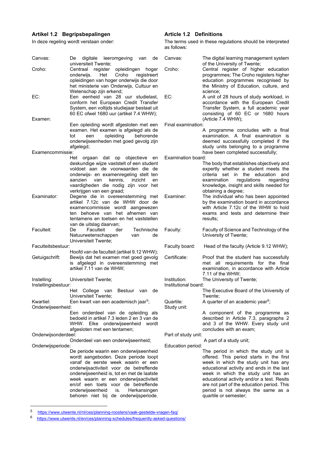# <span id="page-5-0"></span>**Artikel 1.2 Begripsbepalingen**

In deze regeling wordt verstaan onder:

| Canvas:                            | digitale leeromgeving van<br>de<br>De                                                                                                                                                                                                                                                                                                                                              | Can            |
|------------------------------------|------------------------------------------------------------------------------------------------------------------------------------------------------------------------------------------------------------------------------------------------------------------------------------------------------------------------------------------------------------------------------------|----------------|
| Croho:                             | universiteit Twente;<br>register opleidingen<br>Centraal<br>hoger<br>Het<br>Croho<br>onderwijs.<br>registreert<br>opleidingen van hoger onderwijs die door<br>het ministerie van Onderwijs, Cultuur en                                                                                                                                                                             | Crol           |
| EC:                                | Wetenschap zijn erkend;<br>Een eenheid van 28 uur studielast,<br>conform het European Credit Transfer<br>System, een voltijds studiejaar bestaat uit<br>60 EC ofwel 1680 uur (artikel 7.4 WHW);                                                                                                                                                                                    | EC:            |
| Examen:                            | Een opleiding wordt afgesloten met een<br>examen. Het examen is afgelegd als de<br>opleiding behorende<br>tot<br>een<br>onderwijseenheden met goed gevolg zijn<br>afgelegd;                                                                                                                                                                                                        | Fina           |
| Examencommissie:                   |                                                                                                                                                                                                                                                                                                                                                                                    |                |
|                                    | Het<br>orgaan dat op objectieve<br>en<br>deskundige wijze vaststelt of een student<br>voldoet aan de voorwaarden die<br>de<br>onderwijs- en examenregeling stelt ten<br>aanzien van kennis, inzicht<br>en<br>vaardigheden die nodig zijn voor het<br>verkrijgen van een graad;                                                                                                     | Exa            |
| Examinator:                        | Degene die in overeenstemming met<br>artikel 7.12c van de WHW door de<br>examencommissie<br>wordt<br>aangewezen<br>ten behoeve van het afnemen van<br>tentamens en toetsen en het vaststellen<br>van de uitslag daarvan;                                                                                                                                                           | Exa            |
| Faculteit:                         | Faculteit<br>der<br>Technische<br>De<br>Natuurwetenschappen<br>de<br>van<br>Universiteit Twente;                                                                                                                                                                                                                                                                                   | Facı           |
| Faculteitsbestuur:                 |                                                                                                                                                                                                                                                                                                                                                                                    | Facı           |
| Getuigschrift:                     | Hoofd van de faculteit (artikel 9.12 WHW);<br>Bewijs dat het examen met goed gevolg<br>is afgelegd in overeenstemming met<br>artikel 7.11 van de WHW;                                                                                                                                                                                                                              | Cert           |
| Instelling:<br>Instellingsbestuur: | Universiteit Twente;                                                                                                                                                                                                                                                                                                                                                               | Insti<br>Insti |
|                                    | College<br>Het<br>Bestuur van<br>de<br>van                                                                                                                                                                                                                                                                                                                                         |                |
| Kwartiel:<br>Onderwijseenheid:     | Universiteit Twente;<br>Een kwart van een academisch jaar <sup>5</sup> ;                                                                                                                                                                                                                                                                                                           | Qua<br>Stuc    |
|                                    | Een onderdeel van de opleiding als<br>bedoeld in artikel 7.3 leden 2 en 3 van de<br>WHW. Elke<br>onderwijseenheid wordt                                                                                                                                                                                                                                                            |                |
| Onderwijsonderdeel:                | afgesloten met een tentamen;                                                                                                                                                                                                                                                                                                                                                       | Part           |
|                                    | Onderdeel van een onderwijseenheid;                                                                                                                                                                                                                                                                                                                                                |                |
| Onderwijsperiode:                  | De periode waarin een onderwijseenheid<br>wordt aangeboden. Deze periode loopt<br>vanaf de eerste week waarin er een<br>onderwijsactiviteit voor de betreffende<br>onderwijseenheid is, tot en met de laatste<br>week waarin er een onderwijsactiviteit<br>en/of een toets voor de betreffende<br>onderwijseenheid<br>Herkansingen<br>is.<br>behoren niet bij de onderwijsperiode. | Edu            |

# <span id="page-5-1"></span>**Article 1.2 Definitions**

The terms used in these regulations should be interpreted as follows:

| Canvas:                              | The digital learning management system                                                                                                                                                                                                                                                                                                                                                                           |
|--------------------------------------|------------------------------------------------------------------------------------------------------------------------------------------------------------------------------------------------------------------------------------------------------------------------------------------------------------------------------------------------------------------------------------------------------------------|
| Croho:                               | of the University of Twente;<br>Central register of higher education<br>programmes; The Croho registers higher<br>education programmes recognised by<br>the Ministry of Education, culture, and<br>science:                                                                                                                                                                                                      |
| EC:                                  | A unit of 28 hours of study workload, in<br>accordance with the European Credit<br>Transfer System, a full academic year<br>consisting of 60 EC or 1680 hours<br>(Article 7.4 WHW);                                                                                                                                                                                                                              |
| Final examination:                   |                                                                                                                                                                                                                                                                                                                                                                                                                  |
|                                      | A programme concludes with a final<br>examination. A final examination<br>is<br>deemed successfully completed if the<br>study units belonging to a programme<br>have been completed successfully;                                                                                                                                                                                                                |
| Examination board:                   |                                                                                                                                                                                                                                                                                                                                                                                                                  |
| Examiner:                            | The body that establishes objectively and<br>expertly whether a student meets the<br>criteria set in the education and<br>regulations regarding<br>examination<br>knowledge, insight and skills needed for<br>obtaining a degree;<br>The individual who has been appointed<br>by the examination board in accordance<br>with Article 7.12c of the WHW to hold<br>exams and tests and determine their<br>results: |
| Faculty:                             | Faculty of Science and Technology of the<br>University of Twente;                                                                                                                                                                                                                                                                                                                                                |
| Faculty board:                       | Head of the faculty (Article 9.12 WHW);                                                                                                                                                                                                                                                                                                                                                                          |
| Certificate:                         | Proof that the student has successfully<br>met all requirements for the<br>final<br>examination, in accordance with Article<br>7.11 of the WHW;                                                                                                                                                                                                                                                                  |
| Institution:<br>Institutional board: | The University of Twente;                                                                                                                                                                                                                                                                                                                                                                                        |
|                                      | The Executive Board of the University of<br>Twente;                                                                                                                                                                                                                                                                                                                                                              |
| Quartile:<br>Study unit:             | A quarter of an academic year <sup>6</sup> ;                                                                                                                                                                                                                                                                                                                                                                     |
|                                      | A component of the programme as<br>described in Article 7.3, paragraphs 2<br>and 3 of the WHW. Every study unit<br>concludes with an exam;                                                                                                                                                                                                                                                                       |
| Part of study unit:                  |                                                                                                                                                                                                                                                                                                                                                                                                                  |
| Education period:                    | A part of a study unit;                                                                                                                                                                                                                                                                                                                                                                                          |
|                                      | The period in which the study unit is<br>offered. This period starts in the first                                                                                                                                                                                                                                                                                                                                |

week in which the study unit has any educational activity and ends in the last week in which the study unit has an educational activity and/or a test. Resits are not part of the education period. This period is not always the same as a quartile or semester;

<span id="page-5-3"></span><span id="page-5-2"></span><sup>5</sup> <https://www.utwente.nl/nl/ces/planning-roosters/vaak-gestelde-vragen-faq/><br>6 https://www.utwente.nl/en/ces/planning-schedules/frequently-asked-questic

<https://www.utwente.nl/en/ces/planning-schedules/frequently-asked-questions/>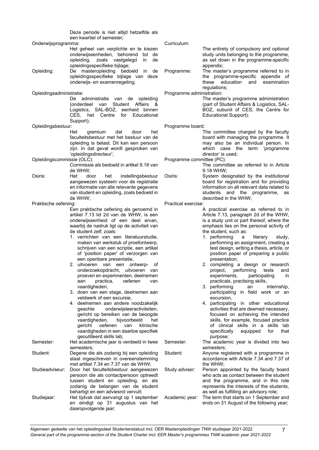Deze periode is niet altijd hetzelfde als een kwartiel of semester;

#### Onderwijsprogramma:

|            | Het geheel van verplichte en te kiezen                                                                                                                                                                                          |  |  |
|------------|---------------------------------------------------------------------------------------------------------------------------------------------------------------------------------------------------------------------------------|--|--|
|            | onderwijseenheden, behorend tot de                                                                                                                                                                                              |  |  |
|            | opleiding, zoals vastgelegd in de                                                                                                                                                                                               |  |  |
|            | opleidingsspecifieke bijlage;                                                                                                                                                                                                   |  |  |
| Opleiding: | De masteropleiding bedoeld in<br>de                                                                                                                                                                                             |  |  |
|            | $\sim$ . The contract of the contract of the contract of the contract of the contract of the contract of the contract of the contract of the contract of the contract of the contract of the contract of the contract of the co |  |  |

opleidingsspecifieke bijlage van deze onderwijs- en examenregeling;

Opleidingsadministratie:

De administratie van de opleiding (onderdeel van Student Affairs & Logistics, SAL-BOZ, eenheid binnen CES, het Centre for Support);

Opleidingsbestuur:

- gremium dat door het faculteitsbestuur met het bestuur van de opleiding is belast. Dit kan een persoon zijn. In dat geval wordt gesproken van 'opleidingsdirecteur';
- Opleidingscommissie (OLC):
	- Commissie als bedoeld in artikel 9.18 van de WHW;<br>Het do
- Osiris: Het door het instellingsbestuur aangewezen systeem voor de registratie en informatie van alle relevante gegevens van student en opleiding, zoals bedoeld in de WHW;

Praktische oefening:

- Een praktische oefening als genoemd in artikel 7.13 lid 2d van de WHW, is een onderwijseenheid of een deel ervan, waarbij de nadruk ligt op de activiteit van de student zelf, zoals:
- 1. verrichten van een literatuurstudie, maken van werkstuk of proefontwerp, schrijven van een scriptie, een artikel of 'position paper' of verzorgen van een openbare presentatie,
- 2. uitvoeren van een ontwerp- of onderzoekopdracht, uitvoeren van proeven en experimenten, deelnemen aan practica, oefenen van vaardigheden,
- 3. doen van een stage, deelnemen aan veldwerk of een excursie,
- 4. deelnemen aan andere noodzakelijk<br>
aeachte onderwiisleeractiviteiten. onderwijsleeractiviteiten, gericht op bereiken van de beoogde<br>vaardigheden, bijvoorbeeld het vaen, bijvoorbeel<mark>d</mark><br>oefenen van kli gericht oefenen van klinische vaardigheden in een daartoe specifiek geoutilleerd skills lab;
- Semester: Het academische jaar is verdeeld in twee semesters; Student: Degene die als zodanig bij een opleiding staat ingeschreven in overeenstemming met artikel 7.34 en 7.37 van de WHW;
- Studieadviseur: Door het faculteitsbestuur aangewezen persoon die als contactpersoon optreedt tussen student en opleiding, en als zodanig de belangen van de student behartigt en een adviesrol vervult;
- Studiejaar: Het tijdvak dat aanvangt op 1 september en eindigt op 31 augustus van het daaropvolgende jaar;

Curriculum:

- The entirety of compulsory and optional study units belonging to the programme, as set down in the programme-specific appendix;
- Programme: The master's programme referred to in the programme-specific appendix of<br>these education and examination education and regulations;

Programme administration:

The master's programme administration (part of Student Affairs & Logistics, SAL-BOZ, subunit of CES, the Centre for Educational Support);

Programme board:

The committee charged by the faculty board with managing the programme. It may also be an individual person. In which case the term 'programme director' is used;

Programme committee (PC):

- The committee as referred to in Article 9.18 WHW;
- Osiris: System designated by the institutional board for registration and for providing information on all relevant data related to students and the programme, as described in the WHW;

Practical exercise:

- A practical exercise as referred to in Article 7.13, paragraph 2d of the WHW, is a study unit or part thereof, where the emphasis lies on the personal activity of the student, such as:<br>1. performing a
	- 1. performing a literary study, performing an assignment, creating a test design, writing a thesis, article, or position paper of preparing a public presentation,
- 2. completing a design or research<br>project, performing tests and performing experiments, participating in
- practicals, practising skills,<br>performing an internship. 3. performing an participating in field work or an excursion,
- 4. participating in other educational activities that are deemed necessary, focused on achieving the intended skills, for example, focused practice of clinical skills in a skills lab<br>specifically equipped for that equipped for that purpose;
- Semester: The academic year is divided into two semesters;
- Student: Anyone registered with a programme in accordance with Article 7.34 and 7.37 of the WHW;
- Study adviser: Person appointed by the faculty board who acts as contact between the student and the programme, and in this role represents the interests of the students, as well as fulfilling an advisory role;
- Academic year: The term that starts on 1 September and ends on 31 August of the following year;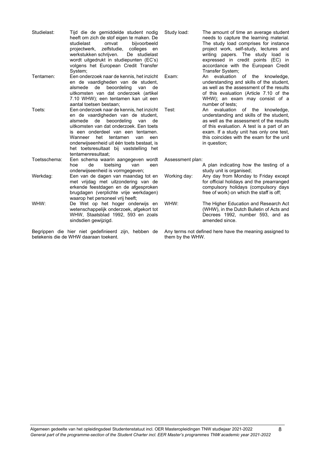| Studielast:  | Tijd die de gemiddelde student nodig<br>heeft om zich de stof eigen te maken. De<br>studielast<br>omvat<br>bijvoorbeeld<br>projectwerk, zelfstudie, colleges<br>en<br>werkstukken schrijven.<br>De studielast<br>wordt uitgedrukt in studiepunten (EC's)<br>volgens het European Credit Transfer<br>System;                                                  |
|--------------|--------------------------------------------------------------------------------------------------------------------------------------------------------------------------------------------------------------------------------------------------------------------------------------------------------------------------------------------------------------|
| Tentamen:    | Een onderzoek naar de kennis, het inzicht<br>en de vaardigheden van de student,<br>beoordeling<br>alsmede<br>de<br>de<br>van<br>uitkomsten van dat onderzoek (artikel<br>7.10 WHW); een tentamen kan uit een<br>aantal toetsen bestaan;                                                                                                                      |
| Toets:       | Een onderzoek naar de kennis, het inzicht<br>en de vaardigheden van de student,<br>alsmede de beoordeling<br>van<br>de<br>uitkomsten van dat onderzoek. Een toets<br>is een onderdeel van een tentamen.<br>het tentamen van<br>Wanneer<br>een<br>onderwijseenheid uit één toets bestaat, is<br>het toetsresultaat bij vaststelling het<br>tentamenresultaat: |
| Toetsschema: | Een schema waarin aangegeven wordt<br>toetsing<br>de<br>hoe<br>van<br>een<br>onderwijseenheid is vormgegeven;                                                                                                                                                                                                                                                |
| Werkdag:     | Een van de dagen van maandag tot en<br>met vrijdag met uitzondering van de<br>erkende feestdagen en de afgesproken<br>brugdagen (verplichte vrije werkdagen)<br>waarop het personeel vrij heeft;                                                                                                                                                             |
| WHW:         | De Wet op het hoger onderwijs en<br>wetenschappelijk onderzoek, afgekort tot<br>WHW, Staatsblad 1992, 593 en zoals<br>sindsdien gewijzigd.                                                                                                                                                                                                                   |

Begrippen die hier niet gedefinieerd zijn, hebben de betekenis die de WHW daaraan toekent.

Study load: The amount of time an average student needs to capture the learning material. The study load comprises for instance project work, self-study, lectures and writing papers. The study load is expressed in credit points (EC) in accordance with the European Credit Transfer System;

Exam: An evaluation of the knowledge, understanding and skills of the student, as well as the assessment of the results of this evaluation (Article 7.10 of the WHW); an exam may consist of a number of tests;

Test: An evaluation of the knowledge, understanding and skills of the student, as well as the assessment of the results of this evaluation. A test is a part of an exam. If a study unit has only one test, this coincides with the exam for the unit in question;

Assessment plan:

| Working day: | A plan indicating how the testing of a<br>study unit is organised;<br>Any day from Monday to Friday except                              |
|--------------|-----------------------------------------------------------------------------------------------------------------------------------------|
|              | for official holidays and the prearranged<br>compulsory holidays (compulsory days<br>free of work) on which the staff is off;           |
| WHW:         | The Higher Education and Research Act<br>(WHW), in the Dutch Bulletin of Acts and<br>Decrees 1992, number 593, and as<br>amended since. |

Any terms not defined here have the meaning assigned to them by the WHW.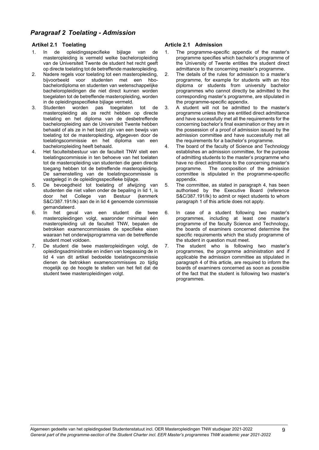# <span id="page-8-0"></span>*Paragraaf 2 Toelating - Admission*

# <span id="page-8-1"></span>**Artikel 2.1 Toelating**

- 1. In de opleidingsspecifieke bijlage van de masteropleiding is vermeld welke bacheloropleiding van de Universiteit Twente de student het recht geeft op directe toelating tot de betreffende masteropleiding.
- 2. Nadere regels voor toelating tot een masteropleiding, bijvoorbeeld voor studenten met een hbobachelordiploma en studenten van wetenschappelijke bacheloropleidingen die niet direct kunnen worden toegelaten tot de betreffende masteropleiding, worden in de opleidingsspecifieke bijlage vermeld.<br>Studenten worden pas toegelaten
- 3. Studenten worden pas toegelaten tot de masteropleiding als ze recht hebben op directe toelating en het diploma van de desbetreffende bacheloropleiding aan de Universiteit Twente hebben behaald of als ze in het bezit zijn van een bewijs van toelating tot de masteropleiding, afgegeven door de toelatingscommissie en het diploma van een bacheloropleiding heeft behaald.
- 4. Het faculteitsbestuur van de faculteit TNW stelt een toelatingscommissie in ten behoeve van het toelaten tot de masteropleiding van studenten die geen directe toegang hebben tot de betreffende masteropleiding. De samenstelling van de toelatingscommissie is vastgelegd in de opleidingsspecifieke bijlage.
- 5. De bevoegdheid tot toelating of afwijzing van studenten die niet vallen onder de bepaling in lid 1, is<br>door het College van Bestuur (kenmerk van Bestuur S&C/387.191/lk) aan de in lid 4 genoemde commissie gemandateerd.
- 6. In het geval van een student die twee masteropleidingen volgt, waaronder minimaal één masteropleiding uit de faculteit TNW, bepalen de betrokken examencommissies de specifieke eisen waaraan het onderwijsprogramma van de betreffende student moet voldoen.
- 7. De student die twee masteropleidingen volgt, de opleidingsadministratie en indien van toepassing de in lid 4 van dit artikel bedoelde toelatingscommissie dienen de betrokken examencommissies zo tijdig mogelijk op de hoogte te stellen van het feit dat de student twee masteropleidingen volgt.

# <span id="page-8-2"></span>**Article 2.1 Admission**

- 1. The programme-specific appendix of the master's programme specifies which bachelor's programme of the University of Twente entitles the student direct admittance to the concerning master's programme.
- 2. The details of the rules for admission to a master's programme, for example for students with an hbo diploma or students from university bachelor programmes who cannot directly be admitted to the corresponding master's programme, are stipulated in the programme-specific appendix.
- 3. A student will not be admitted to the master's programme unless they are entitled direct admittance and have successfully met all the requirements for the concerning bachelor's final examination or they are in the possession of a proof of admission issued by the admission committee and have successfully met all the requirements for a bachelor's programme.
- 4. The board of the faculty of Science and Technology establishes an admission committee, for the purpose of admitting students to the master's programme who have no direct admittance to the concerning master's programme. The composition of the admission committee is stipulated in the programme-specific appendix.
- 5. The committee, as stated in paragraph 4, has been authorised by the Executive Board (reference S&C/387.191/lk) to admit or reject students to whom paragraph 1 of this article does not apply.
- 6. In case of a student following two master's programmes, including at least one master's programme of the faculty Science and Technology, the boards of examiners concerned determine the specific requirements which the study programme of the student in question must meet.
- 7. The student who is following two master's programmes, the programme administration and if applicable the admission committee as stipulated in paragraph 4 of this article, are required to inform the boards of examiners concerned as soon as possible of the fact that the student is following two master's programmes.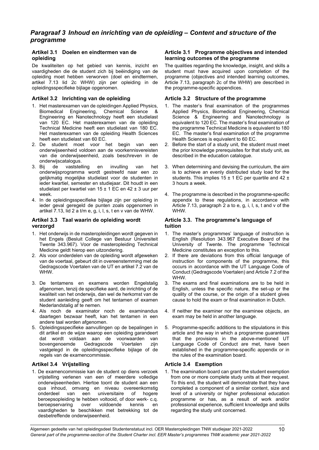# <span id="page-9-0"></span>*Paragraaf 3 Inhoud en inrichting van de opleiding – Content and structure of the programme*

# <span id="page-9-1"></span>**Artikel 3.1 Doelen en eindtermen van de opleiding**

De kwaliteiten op het gebied van kennis, inzicht en vaardigheden die de student zich bij beëindiging van de opleiding moet hebben verworven (doel en eindtermen, artikel 7.13 lid 2c WHW) zijn per opleiding in de opleidingsspecifieke bijlage opgenomen.

# <span id="page-9-3"></span>**Artikel 3.2 Inrichting van de opleiding**

- 1. Het masterexamen van de opleidingen Applied Physics, Biomedical Engineering, Chemical Science & Engineering en Nanotechnology heeft een studielast van 120 EC. Het masterexamen van de opleiding Technical Medicine heeft een studielast van 180 EC. Het masterexamen van de opleiding Health Sciences heeft een studielast van 60 EC.
- 2. De student moet voor het begin van een onderwijseenheid voldoen aan de voorkennisvereisten van die onderwijseenheid, zoals beschreven in de onderwijscatalogus.<br>3. Bij de vaststel
- vaststelling en invulling van het onderwijsprogramma wordt gestreefd naar een zo gelijkmatig mogelijke studielast voor de studenten in ieder kwartiel, semester en studiejaar. Dit houdt in een studielast per kwartiel van 15 ± 1 EC en 42 ± 3 uur per week.
- 4. In de opleidingsspecifieke bijlage zijn per opleiding in ieder geval geregeld de punten zoals opgenomen in artikel 7.13, lid 2 a t/m e, g, i, l, s, t en v van de WHW.

# <span id="page-9-5"></span>**Artikel 3.3 Taal waarin de opleiding wordt verzorgd**

- 1. Het onderwijs in de masteropleidingen wordt gegeven in het Engels (Besluit College van Bestuur Universiteit Twente 343.967). Voor de masteropleiding Technical Medicine geldt hierop een uitzondering.
- 2. Als voor onderdelen van de opleiding wordt afgeweken van de voertaal, gebeurt dit in overeenstemming met de Gedragscode Voertalen van de UT en artikel 7.2 van de WHW.
- 3. De tentamens en examens worden Engelstalig afgenomen, tenzij de specifieke aard, de inrichting of de kwaliteit van het onderwijs, dan wel de herkomst van de student aanleiding geeft om het tentamen of examen Nederlandstalig af te nemen.
- 4. Als noch de examinator noch de examinandus daartegen bezwaar heeft, kan het tentamen in een andere taal worden afgenomen.
- 5. Opleidingsspecifieke aanvullingen op de bepalingen in dit artikel en de wijze waarop een opleiding garandeert dat wordt voldaan aan de voorwaarden van bovengenoemde Gedragscode Voertalen zijn vastgelegd in de opleidingsspecifieke bijlage of de regels van de examencommissie.

# <span id="page-9-7"></span>**Artikel 3.4 Vrijstelling**

1. De examencommissie kan de student op diens verzoek vrijstelling verlenen van een of meerdere volledige onderwijseenheden. Hiertoe toont de student aan een qua inhoud, omvang en niveau overeenkomstig onderdeel van een universitaire of hogere beroepsopleiding te hebben voltooid, of door werk- c.q. beroepservaring over voldoende kennis en vaardigheden te beschikken met betrekking tot de desbetreffende onderwijseenheid.

### <span id="page-9-2"></span>**Article 3.1 Programme objectives and intended learning outcomes of the programme**

The qualities regarding the knowledge, insight, and skills a student must have acquired upon completion of the programme (objectives and intended learning outcomes, Article 7.13, paragraph 2c of the WHW) are described in the programme-specific appendices.

### <span id="page-9-4"></span>**Article 3.2 Structure of the programme**

- 1. The master's final examination of the programmes Applied Physics, Biomedical Engineering, Chemical Science & Engineering and Nanotechnology is equivalent to 120 EC. The master's final examination of the programme Technical Medicine is equivalent to 180 EC. The master's final examination of the programme Health Sciences is equivalent to 60 EC.
- 2. Before the start of a study unit, the student must meet the prior knowledge prerequisites for that study unit, as described in the education catalogue.
- 3. When determining and devising the curriculum, the aim is to achieve an evenly distributed study load for the students. This implies  $15 \pm 1$  EC per quartile and  $42 \pm$ 3 hours a week.
- 4. The programme is described in the programme-specific appendix to these regulations, in accordance with Article 7.13, paragraph 2 a to e, g, i, l, s, t and v of the WHW.

# <span id="page-9-6"></span>**Article 3.3. The programme's language of tuition**

- 1. The master's programmes' language of instruction is English (Resolution 343.967 Executive Board of the University of Twente. The programme Technical Medicine constitutes an exception to this.
- 2. If there are deviations from this official language of instruction for components of the programme, this occurs in accordance with the UT Language Code of Conduct (Gedragscode Voertalen) and Article 7.2 of the WHW.
- 3. The exams and final examinations are to be held in English, unless the specific nature, the set-up or the quality of the course, or the origin of a student gives cause to hold the exam or final examination in Dutch.
- 4. If neither the examiner nor the examinee objects, an exam may be held in another language.
- 5. Programme-specific additions to the stipulations in this article and the way in which a programme guarantees that the provisions in the above-mentioned UT Language Code of Conduct are met, have been established in the programme-specific appendix or in the rules of the examination board.

### <span id="page-9-8"></span>**Article 3.4 Exemption**

1. The examination board can grant the student exemption from one or more complete study units at their request. To this end, the student will demonstrate that they have completed a component of a similar content, size and level of a university or higher professional education programme or has, as a result of work and/or professional experience, sufficient knowledge and skills regarding the study unit concerned.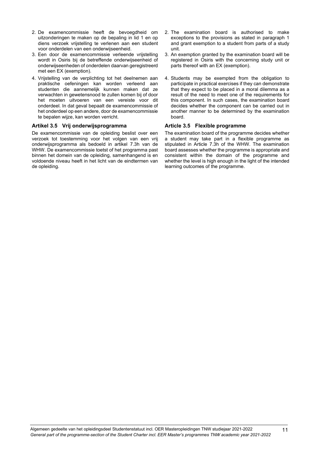- 2. De examencommissie heeft de bevoegdheid om uitzonderingen te maken op de bepaling in lid 1 en op diens verzoek vrijstelling te verlenen aan een student voor onderdelen van een onderwijseenheid.
- 3. Een door de examencommissie verleende vrijstelling wordt in Osiris bij de betreffende onderwijseenheid of onderwijseenheden of onderdelen daarvan geregistreerd met een EX (exemption).
- 4. Vrijstelling van de verplichting tot het deelnemen aan praktische oefeningen kan worden verleend aan studenten die aannemelijk kunnen maken dat ze verwachten in gewetensnood te zullen komen bij of door het moeten uitvoeren van een vereiste voor dit onderdeel. In dat geval bepaalt de examencommissie of het onderdeel op een andere, door de examencommissie te bepalen wijze, kan worden verricht.

### <span id="page-10-0"></span>**Artikel 3.5 Vrij onderwijsprogramma**

De examencommissie van de opleiding beslist over een verzoek tot toestemming voor het volgen van een vrij onderwijsprogramma als bedoeld in artikel 7.3h van de WHW. De examencommissie toetst of het programma past binnen het domein van de opleiding, samenhangend is en voldoende niveau heeft in het licht van de eindtermen van de opleiding.

- 2. The examination board is authorised to make exceptions to the provisions as stated in paragraph 1 and grant exemption to a student from parts of a study unit.
- 3. An exemption granted by the examination board will be registered in Osiris with the concerning study unit or parts thereof with an EX (exemption).
- 4. Students may be exempted from the obligation to participate in practical exercises if they can demonstrate that they expect to be placed in a moral dilemma as a result of the need to meet one of the requirements for this component. In such cases, the examination board decides whether the component can be carried out in another manner to be determined by the examination board.

# <span id="page-10-1"></span>**Article 3.5 Flexible programme**

The examination board of the programme decides whether a student may take part in a flexible programme as stipulated in Article 7.3h of the WHW. The examination board assesses whether the programme is appropriate and consistent within the domain of the programme and whether the level is high enough in the light of the intended learning outcomes of the programme.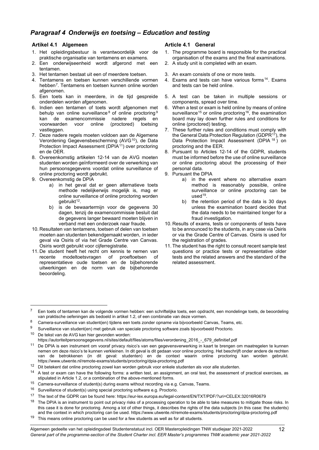# <span id="page-11-0"></span>*Paragraaf 4 Onderwijs en toetsing – Education and testing*

# <span id="page-11-1"></span>**Artikel 4.1 Algemeen**

- 1. Het opleidingsbestuur is verantwoordelijk voor de praktische organisatie van tentamens en examens.
- 2. Een onderwijseenheid wordt afgerond met een tentamen.
- 3. Het tentamen bestaat uit een of meerdere toetsen.
- 4. Tentamens en toetsen kunnen verschillende vormen hebben[7.](#page-11-3) Tentamens en toetsen kunnen online worden afgenomen.
- 5. Een toets kan in meerdere, in de tijd gespreide onderdelen worden afgenomen.
- 6. Indien een tentamen of toets wordt afgenomen met behulp van online surveillance <sup>[8](#page-11-4)</sup> of online proctoring <sup>[9](#page-11-5)</sup><br>kan de examencommissie nadere regels en kan de examencommissie nadere regels en<br>voorwaarden voor online (proctored) toetsing voor online vastleggen.
- 7. Deze nadere regels moeten voldoen aan de Algemene Verordening Gegevensbescherming (AVG<sup>[10](#page-11-6)</sup>), de Data Protection Impact Assessment (DPIA<sup>11</sup>) over proctoring en de OER.
- 8. Overeenkomstig artikelen 12-14 van de AVG moeten studenten worden geïnformeerd over de verwerking van hun persoonsgegevens voordat online surveillance of online proctoring wordt gebruikt.
- 9. Overeenkomstig de DPIA
	- a) in het geval dat er geen alternatieve toets methode redelijkerwijs mogelijk is, mag er online surveillance of online proctoring worden gebruikt<sup>12</sup>.
	- b) is de bewaartermijn voor de gegevens 30 dagen, tenzij de examencommissie besluit dat de gegevens langer bewaard moeten blijven in verband met een onderzoek naar fraude.
- 10. Resultaten van tentamens, toetsen of delen van toetsen moeten aan studenten bekendgemaakt worden, in ieder geval via Osiris of via het Grade Centre van Canvas. Osiris wordt gebruikt voor cijferregistratie.
- 11. De student heeft het recht om kennis te nemen van recente modeltoetsvragen of proeftoetsen of representatieve oude toetsen en de bijbehorende uitwerkingen en de norm van de bijbehorende beoordeling.

# <span id="page-11-2"></span>**Article 4.1 General**

- 1. The programme board is responsible for the practical organisation of the exams and the final examinations. 2. A study unit is completed with an exam.
- 
- 3. An exam consists of one or more tests.
- 4. Exams and tests can have various forms<sup>[14](#page-11-9)</sup>. Exams and tests can be held online.
- 5. A test can be taken in multiple sessions or components, spread over time.
- 6. When a test or exam is held online by means of online surveillance<sup>[15](#page-11-10)</sup> or online proctoring<sup>16</sup>, the examination board may lay down further rules and conditions for online (proctored) testing.
- 7. These further rules and conditions must comply with the General Data Protection Regulation (GDPR<sup>17</sup>), the Data Protection Impact Assessment (DPIA [18](#page-11-13)) on proctoring and the EER.
- 8. Pursuant to Articles 12-14 of the GDPR, students must be informed before the use of online surveillance or online proctoring about the processing of their personal data.
- 9. Pursuant the DPIA
	- a) in the event where no alternative exam method is reasonably possible, online surveillance or online proctoring can be used $19$ .
	- b) the retention period of the data is 30 days unless the examination board decides that the data needs to be maintained longer for a fraud investigation.
- 10. Results of exams, tests or components of tests have to be announced to the students, in any case via Osiris or via the Grade Centre of Canvas. Osiris is used for the registration of grades.
- 11. The student has the right to consult recent sample test questions or practice tests or representative older tests and the related answers and the standard of the related assessment.

<span id="page-11-3"></span><sup>7</sup> Een toets of tentamen kan de volgende vormen hebben: een schriftelijke toets, een opdracht, een mondelinge toets, de beoordeling van praktische oefeningen als bedoeld in artikel 1.2, of een combinatie van deze vormen.

<span id="page-11-4"></span><sup>8</sup> Camera-surveillance van student(en) tijdens een toets zonder opname via bijvoorbeeld Canvas, Teams, etc.

<span id="page-11-5"></span><sup>9</sup> Surveillance van student(en) met gebruik van speciale proctoring software zoals bijvoorbeeld Proctorio.

<span id="page-11-6"></span><sup>10</sup> De tekst van de AVG kan hier gevonden worden:

[https://autoriteitpersoonsgegevens.nl/sites/default/files/atoms/files/verordening\\_2016\\_-\\_679\\_definitief.pdf](https://autoriteitpersoonsgegevens.nl/sites/default/files/atoms/files/verordening_2016_-_679_definitief.pdf)

<span id="page-11-7"></span><sup>11</sup> De DPIA is een instrument om vooraf privacy risico's van een gegevensverwerking in kaart te brengen om maatregelen te kunnen nemen om deze risico's te kunnen verkleinen. In dit geval is dit gedaan voor online proctoring. Het beschrijft onder andere de rechten van de betrokkenen (in dit geval: studenten) en de context waarin online proctoring kan worden gebruikt. https://www.utwente.nl/remote-exams/students/proctoring/dpia-proctoring.pdf

<span id="page-11-9"></span><span id="page-11-8"></span><sup>12</sup> Dit betekent dat online proctoring zowel kan worden gebruik voor enkele studenten als voor alle studenten.<br>14 A test or exam can have the following forms: a written test an assignment, an oral test, the assessment.

<sup>14</sup> A test or exam can have the following forms: a written test, an assignment, an oral test, the assessment of practical exercises, as stipulated in Article 1.2, or a combination of the above-mentioned forms.

<span id="page-11-10"></span><sup>&</sup>lt;sup>15</sup> Camera-surveillance of student(s) during exams without recording via e.g. Canvas, Teams.

<span id="page-11-11"></span> $16$  Surveillance of student(s) using special proctoring software e.g. Proctorio.

<span id="page-11-12"></span><sup>17</sup> The text of the GDPR can be found here[: https://eur-lex.europa.eu/legal-content/EN/TXT/PDF/?uri=CELEX:32016R0679](https://eur-lex.europa.eu/legal-content/EN/TXT/PDF/?uri=CELEX:32016R0679)

<span id="page-11-13"></span><sup>&</sup>lt;sup>18</sup> The DPIA is an instrument to point out privacy risks of a processing operation to be able to take measures to mitigate those risks. In this case it is done for proctoring. Among a lot of other things, it describes the rights of the data subjects (in this case: the students) and the context in which proctoring can be used. https://www.utwente.nl/remote-exams/students/proctoring/dpia-proctoring.pdf

<span id="page-11-14"></span> $19$  This means online proctoring can be used for a few students as well as for all students.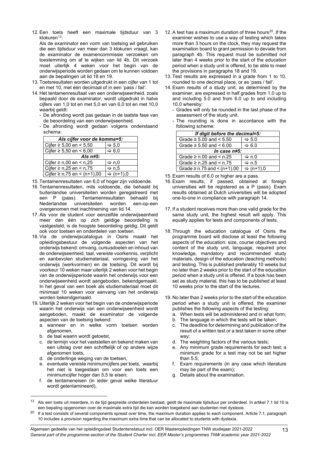12. Een toets heeft een maximale tijdsduur van 3 klokuren $13$ .

Als de examinator een vorm van toetsing wil gebruiken die een tijdsduur van meer dan 3 klokuren vraagt, kan de examinator de examencommissie verzoeken om toestemming om af te wijken van lid 4b. Dit verzoek moet uiterlijk 4 weken voor het begin van de onderwijsperiode worden gedaan om te kunnen voldoen aan de bepalingen uit lid 18 en 19.

- 13. Toetsresultaten worden uitgedrukt in een cijfer van 1 tot en met 10, met één decimaal of in een 'pass / fail'.
- 14. Het tentamenresultaat van een onderwijseenheid, zoals bepaald door de examinator, wordt uitgedrukt in halve cijfers van 1,0 tot en met 5,0 en van 6,0 tot en met 10,0 waarbij geldt:
	- De afronding wordt pas gedaan in de laatste fase van de beoordeling van een onderwijseenheid.
	- De afronding wordt gedaan volgens onderstaand schema:

| Als cijfer voor de komma=5:        |                       |  |
|------------------------------------|-----------------------|--|
| Cijfer ≥ 5,00 en < 5,50            | $\Rightarrow$ 5,0     |  |
| Cijfer ≥ 5,50 en < 6,00            | $\Rightarrow 6,0$     |  |
| Als $n \neq 5$ :                   |                       |  |
| Cijfer ≥ n,00 en < n,25            | $\Rightarrow$ n,0     |  |
| Cijfer ≥ n,25 en < n,75<br>Arr n.5 |                       |  |
| Cijfer ≥ n,75 en < (n+1),00        | $\Rightarrow$ (n+1),0 |  |

- 15. Tentamenresultaten van 6,0 of hoger zijn voldoende.
- 16. Tentamenresultaten, mits voldoende, die behaald bij buitenlandse universiteiten worden geregistreerd met een P (pass). Tentamenresultaten behaald bij<br>Nederlandse universiteiten worden een-op-een universiteiten overgenomen met inachtneming van lid 14.
- 17. Als voor de student voor eenzelfde onderwijseenheid meer dan één op zich geldige beoordeling is vastgesteld, is de hoogste beoordeling geldig. Dit geldt ook voor toetsen en onderdelen van toetsen.
- 18. Via de onderwijscatalogus in Osiris maakt het opleidingsbestuur de volgende aspecten van het onderwijs bekend: omvang, cursusdoelen en inhoud van de onderwijseenheid, taal, vereiste voorkennis, verplicht en aanbevolen studiemateriaal, vormgeving van het onderwijs (werkvormen) en de toetsing. Dit wordt bij voorkeur 10 weken maar uiterlijk 2 weken voor het begin van de onderwijsperiode waarin het onderwijs voor een onderwijseenheid wordt aangeboden, bekendgemaakt. In het geval van een boek als studiemateriaal moet dit minimaal 10 weken voor aanvang van het onderwijs worden bekendgemaakt.
- 19. Uiterlijk 2 weken voor het begin van de onderwijsperiode waarin het onderwijs van een onderwijseenheid wordt aangeboden, maakt de examinator de volgende aspecten van de toetsing bekend:
	- a. wanneer en in welke vorm toetsen worden afgenomen,
	- b. de taal waarin wordt getoetst,
	- c. de termijn voor het vaststellen en bekend maken van een uitslag over een schriftelijk of op andere wijze afgenomen toets,
	- d. de onderlinge weging van de toetsen,
	- e. eventuele vereiste minimumcijfers per toets, waarbij het niet is toegestaan om voor een toets een minimumcijfer hoger dan 5,5 te eisen;
	- f. de tentameneisen (in ieder geval welke literatuur wordt getentamineerd),
- 12. A test has a maximum duration of three hours<sup>20</sup>. If the examiner wishes to use a way of testing which takes more than 3 hours on the clock, they may request the examination board to grant permission to deviate from paragraph 4b. This request must be submitted not later than 4 weeks prior to the start of the education period when a study unit is offered, to be able to meet the provisions in paragraphs 18 and 19.
- 13. Test results are expressed in a grade from 1 to 10, rounded to one decimal place, or as 'pass / fail'.
- 14. Exam results of a study unit, as determined by the examiner, are expressed in half grades from 1.0 up to and including 5.0 and from 6.0 up to and including 10.0 whereby:
	- Grades will only be rounded in the last phase of the assessment of the study unit.
	- The rounding is done in accordance with the following scheme:

| If digit before the decimal=5:        |                       |  |
|---------------------------------------|-----------------------|--|
| Grade $\ge$ 5.00 and $\le$ 5.50       | $\Rightarrow$ 5.0     |  |
| Grade $\ge$ 5.50 and < 6.00           | $\Leftrightarrow$ 6.0 |  |
| In case n#5:                          |                       |  |
| Grade $\geq$ n.00 and $\leq$ n.25     | ⇔ n.0                 |  |
| Grade $\geq$ n.25 and $\leq$ n.75     | ⇔ n.5                 |  |
| Grade $\geq$ n.75 and $\leq$ (n+1).00 | $\Rightarrow$ (n+1).0 |  |

- 15. Exam results of 6.0 or higher are a pass.
- 16. Exam results, if passed, obtained at foreign universities will be registered as a P (pass). Exam results obtained at Dutch universities will be adopted one-to-one in compliance with paragraph 14.
- 17. If a student receives more than one valid grade for the same study unit, the highest result will apply. This equally applies for tests and components of tests.
- 18. Through the education catalogue of Osiris the programme board will disclose at least the following aspects of the education: size, course objectives and content of the study unit, language, required prior knowledge, mandatory and recommended study materials, design of the education (teaching methods) and testing. This is published preferably 10 weeks but no later than 2 weeks prior to the start of the education period when a study unit is offered. If a book has been set as study material, this has to be published at least 10 weeks prior to the start of the lectures.
- 19. No later than 2 weeks prior to the start of the education period when a study unit is offered, the examiner publishes the following aspects of the testing:
	- a. When tests will be administered and in what form;
	- b. The language in which the tests will be taken;
	- c. The deadline for determining and publication of the result of a written test or a test taken in some other way;
	- d. The weighting factors of the various tests;
	- e. Any minimum grade requirements for each test; a minimum grade for a test may not be set higher than 5.5;
	- f. Exam requirements (in any case which literature may be part of the exam);
	- g. Details about the examination.

<span id="page-12-0"></span><sup>&</sup>lt;sup>13</sup> Als een toets uit meerdere, in de tijd gespreide onderdelen bestaat, geldt de maximale tijdsduur per onderdeel. In artikel 7.1 lid 10 is een bepaling opgenomen over de maximale extra tijd die kan worden toegekend aan studenten met dyslexie.

<span id="page-12-1"></span><sup>&</sup>lt;sup>20</sup> If a test consists of several components spread over time, the maximum duration applies to each component. Article 7.1, paragraph 10 includes a provision regarding the maximum extra time that can be allocated to students with dyslexia.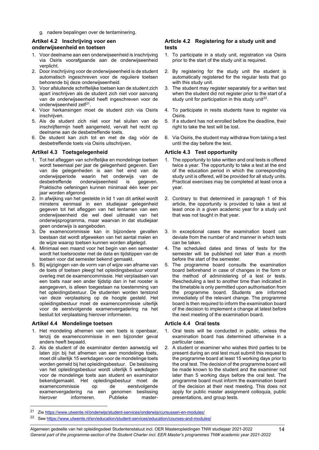g. nadere bepalingen over de tentaminering.

### <span id="page-13-0"></span>**Artikel 4.2 Inschrijving voor een onderwijseenheid en toetsen**

- 1. Voor deelname aan een onderwijseenheid is inschrijving via Osiris voorafgaande aan de onderwijseenheid verplicht.
- 2. Door inschrijving voor de onderwijseenheid is de student automatisch ingeschreven voor de reguliere toetsen behorende bij deze onderwijseenheid.
- 3. Voor afsluitende schriftelijke toetsen kan de student zich apart inschrijven als de student zich niet voor aanvang van de onderwijseenheid heeft ingeschreven voor de onderwijseenheid zelf<sup>21</sup>.
- 4. Voor herkansingen moet de student zich via Osiris inschrijven.
- 5. Als de student zich niet voor het sluiten van de inschrijftermijn heeft aangemeld, vervalt het recht op deelname aan de desbetreffende toets.
- 6. De student kan zich tot en met de dag vóór de desbetreffende toets via Osiris uitschrijven.

# <span id="page-13-2"></span>**Artikel 4.3 Toetsgelegenheid**

- 1. Tot het afleggen van schriftelijke en mondelinge toetsen wordt tweemaal per jaar de gelegenheid gegeven. Een van die gelegenheden is aan het eind van de onderwijsperiode waarin het onderwijs van de<br>desbetreffende onderwijseenheid is gegeven. onderwijseenheid is Praktische oefeningen kunnen minimaal één keer per jaar worden afgerond.
- 2. In afwijking van het gestelde in lid 1 van dit artikel wordt minstens eenmaal in een studiejaar gelegenheid gegeven tot het afleggen van het tentamen van een onderwijseenheid die wel deel uitmaakt van het onderwijsprogramma, maar waarvan in dat studiejaar geen onderwijs is aangeboden.
- 3. De examencommissie kan in bijzondere gevallen toestaan dat wordt afgeweken van het aantal malen en de wijze waarop toetsen kunnen worden afgelegd.
- 4. Minimaal een maand voor het begin van een semester wordt het toetsrooster met de data en tijdstippen van de toetsen voor dat semester bekend gemaakt.
- 5. Bij wijzigingen van de vorm van of wijze van afname van de toets of toetsen pleegt het opleidingsbestuur vooraf overleg met de examencommissie. Het verplaatsen van een toets naar een ander tijdstip dan in het rooster is aangegeven, is alleen toegestaan na toestemming van het opleidingsbestuur. De studenten worden terstond van deze verplaatsing op de hoogte gesteld. Het opleidingsbestuur moet de examencommissie uiterlijk voor de eerstvolgende examenvergadering na het besluit tot verplaatsing hierover informeren.

### <span id="page-13-4"></span>**Artikel 4.4 Mondelinge toetsen**

- 1. Het mondeling afnemen van een toets is openbaar, tenzij de examencommissie in een bijzonder geval anders heeft bepaald.
- 2. Als de student of de examinator derden aanwezig wil laten zijn bij het afnemen van een mondelinge toets, moet dit uiterlijk 15 werkdagen voor de mondelinge toets worden gemeld bij het opleidingsbestuur. De beslissing van het opleidingsbestuur wordt uiterlijk 5 werkdagen voor de mondelinge toets aan student en examinator bekendgemaakt. Het opleidingsbestuur moet de examencommissie op de eerstvolgende<br>examenvergadering na een genomen beslissing examenvergadering na een genomen beslissing<br>hierover informeren. Publieke masterinformeren.

# <span id="page-13-1"></span>**Article 4.2 Registering for a study unit and tests**

- 1. To participate in a study unit, registration via Osiris prior to the start of the study unit is required.
- 2. By registering for the study unit the student is automatically registered for the regular tests that go with this study unit.
- 3. The student may register separately for a written test when the student did not register prior to the start of a study unit for participation in this study unit $22$ .
- 4. To participate in resits students have to register via Osiris.
- 5. If a student has not enrolled before the deadline, their right to take the test will be lost.
- 6. Via Osiris, the student may withdraw from taking a test until the day before the test.

# <span id="page-13-3"></span>**Article 4.3 Test opportunity**

- 1. The opportunity to take written and oral tests is offered twice a year. The opportunity to take a test at the end of the education period in which the corresponding study unit is offered, will be provided for all study units. Practical exercises may be completed at least once a year.
- 2. Contrary to that determined in paragraph 1 of this article, the opportunity is provided to take a test at least once in a given academic year for a study unit that was not taught in that year.
- 3. In exceptional cases the examination board can deviate from the number of and manner in which tests can be taken.
- 4. The scheduled dates and times of tests for the semester will be published not later than a month before the start of the semester.
- 5. The programme board consults the examination board beforehand in case of changes in the form or the method of administering of a test or tests. Rescheduling a test to another time than indicated in the timetable is only permitted upon authorisation from the programme board. Students are informed immediately of the relevant change. The programme board is then required to inform the examination board of the decision to implement a change at latest before the next meeting of the examination board.

### <span id="page-13-5"></span>**Article 4.4 Oral tests**

- 1. Oral tests will be conducted in public, unless the examination board has determined otherwise in a particular case.
- 2. A student or examiner who wishes third parties to be present during an oral test must submit this request to the programme board at least 15 working days prior to the oral test. The decision of the programme board will be made known to the student and the examiner not later than 5 working days before the oral test. The programme board must inform the examination board of the decision at their next meeting. This does not apply for public master assignment colloquia, public presentations, and group tests.

<span id="page-13-6"></span><sup>21</sup> Zie<https://www.utwente.nl/onderwijs/student-services/onderwijs/cursussen-en-modules/>

<span id="page-13-7"></span><sup>&</sup>lt;sup>22</sup> Se[e https://www.utwente.nl/en/education/student-services/education/courses-and-modules/](https://www.utwente.nl/en/education/student-services/education/courses-and-modules/)

Algemeen gedeelte van het opleidingsdeel Studentenstatuut incl. OER Masteropleidingen TNW studiejaar 2021-2022 *General part of the programme-section of the Student Charter incl. EER Master's programmes TNW academic year 2021-2022*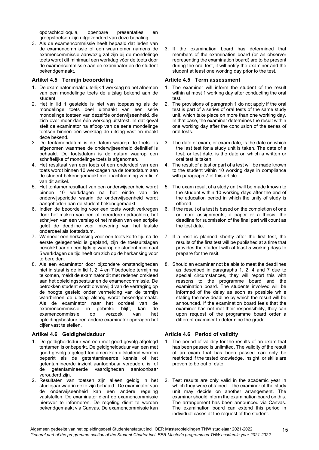opdrachtcolloquia, openbare presentaties en groepstoetsen zijn uitgezonderd van deze bepaling.

3. Als de examencommissie heeft bepaald dat leden van de examencommissie of een waarnemer namens de examencommissie aanwezig zal zijn bij de mondelinge toets wordt dit minimaal een werkdag vóór de toets door de examencommissie aan de examinator en de student bekendgemaakt.

# <span id="page-14-0"></span>**Artikel 4.5 Termijn beoordeling**

- 1. De examinator maakt uiterlijk 1 werkdag na het afnemen van een mondelinge toets de uitslag bekend aan de student.
- 2. Het in lid 1 gestelde is niet van toepassing als de mondelinge toets deel uitmaakt van een serie mondelinge toetsen van dezelfde onderwijseenheid, die zich over meer dan één werkdag uitstrekt. In dat geval stelt de examinator na afloop van de serie mondelinge toetsen binnen één werkdag de uitslag vast en maakt deze bekend.
- 3. De tentamendatum is de datum waarop de toets is afgenomen waarmee de onderwijseenheid definitief is behaald. De toetsdatum is de datum waarop een schriftelijke of mondelinge toets is afgenomen.
- 4. Het resultaat van een toets of een onderdeel van een toets wordt binnen 10 werkdagen na de toetsdatum aan de student bekendgemaakt met inachtneming van lid 7 van dit artikel.
- 5. Het tentamenresultaat van een onderwijseenheid wordt binnen 10 werkdagen na het einde van de onderwijsperiode waarin de onderwijseenheid wordt aangeboden aan de student bekendgemaakt.
- 6. Indien de beoordeling voor een toets wordt verkregen door het maken van een of meerdere opdrachten, het schrijven van een verslag of het maken van een scriptie geldt de deadline voor inlevering van het laatste onderdeel als toetsdatum.
- 7. Wanneer een herkansing voor een toets korte tijd na de eerste gelegenheid is gepland, zijn de toetsuitslagen beschikbaar op een tijdstip waarop de student minimaal 5 werkdagen de tijd heeft om zich op de herkansing voor te bereiden.
- 8. Als een examinator door bijzondere omstandigheden niet in staat is de in lid 1, 2, 4 en 7 bedoelde termijn na te komen, meldt de examinator dit met redenen omkleed aan het opleidingsbestuur en de examencommissie. De betrokken student wordt onverwijld van de vertraging op de hoogte gesteld onder vermelding van de termijn waarbinnen de uitslag alsnog wordt bekendgemaakt. Als de examinator naar het oordeel van de examencommissie in gebreke blijft, kan de examencommissie op verzoek van opleidingsbestuur een andere examinator opdragen het cijfer vast te stellen.

# <span id="page-14-2"></span>**Artikel 4.6 Geldigheidsduur**

- 1. De geldigheidsduur van een met goed gevolg afgelegd tentamen is onbeperkt. De geldigheidsduur van een met goed gevolg afgelegd tentamen kan uitsluitend worden beperkt als de getentamineerde kennis of het getentamineerde inzicht aantoonbaar verouderd is, of de getentamineerde vaardigheden aantoonbaar verouderd zijn.
- 2. Resultaten van toetsen zijn alleen geldig in het studiejaar waarin deze zijn behaald. De examinator van de onderwijseenheid kan een andere regeling vaststellen. De examinator dient de examencommissie hierover te informeren. De regeling dient te worden bekendgemaakt via Canvas. De examencommissie kan

3. If the examination board has determined that members of the examination board (or an observer representing the examination board) are to be present during the oral test, it will notify the examiner and the student at least one working day prior to the test.

### <span id="page-14-1"></span>**Article 4.5 Term assessment**

- 1. The examiner will inform the student of the result within at most 1 working day after conducting the oral test.
- 2. The provisions of paragraph 1 do not apply if the oral test is part of a series of oral tests of the same study unit, which take place on more than one working day. In that case, the examiner determines the result within one working day after the conclusion of the series of oral tests.
- 3. The date of exam, or exam date, is the date on which the last test for a study unit is taken. The date of a test, or test date, is the date on which a written or oral test is taken.
- 4. The result of a test or part of a test will be made known to the student within 10 working days in compliance with paragraph 7 of this article.
- 5. The exam result of a study unit will be made known to the student within 10 working days after the end of the education period in which the unity of study is offered.
- 6. If the result of a test is based on the completion of one or more assignments, a paper or a thesis, the deadline for submission of the final part will count as the test date.
- 7. If a resit is planned shortly after the first test, the results of the first test will be published at a time that provides the student with at least 5 working days to prepare for the resit.
- 8. Should an examiner not be able to meet the deadlines as described in paragraphs 1, 2, 4 and 7 due to special circumstances, they will report this with reasons to the programme board and the examination board. The students involved will be informed of the delay as soon as possible while stating the new deadline by which the result will be announced. If the examination board feels that the examiner has not met their responsibility, they can upon request of the programme board order a different examiner to determine the grade.

# <span id="page-14-3"></span>**Article 4.6 Period of validity**

- 1. The period of validity for the results of an exam that has been passed is unlimited. The validity of the result of an exam that has been passed can only be restricted if the tested knowledge, insight, or skills are proven to be out of date.
- 2. Test results are only valid in the academic year in which they were obtained. The examiner of the study unit may decide on another arrangement. The examiner should inform the examination board on this. The arrangement has been announced via Canvas. The examination board can extend this period in individual cases at the request of the student.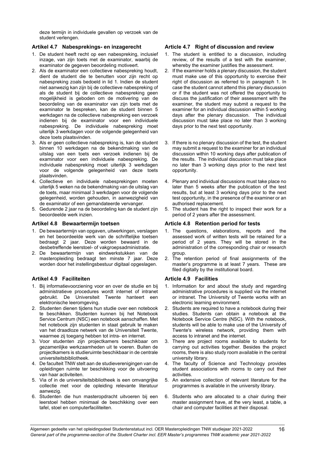deze termijn in individuele gevallen op verzoek van de student verlengen.

# <span id="page-15-0"></span>**Artikel 4.7 Nabesprekings- en inzagerecht**

- 1. De student heeft recht op een nabespreking, inclusief inzage, van zijn toets met de examinator, waarbij de examinator de gegeven beoordeling motiveert.
- 2. Als de examinator een collectieve nabespreking houdt, dient de student die te benutten voor zijn recht op nabespreking zoals bedoeld in lid 1. Indien de student niet aanwezig kan zijn bij de collectieve nabespreking of als de student bij de collectieve nabespreking geen mogelijkheid is geboden om de motivering van de beoordeling van de examinator van zijn toets met de examinator te bespreken, kan de student binnen 5 werkdagen na de collectieve nabespreking een verzoek indienen bij de examinator voor een individuele nabespreking. De individuele nabespreking moet uiterlijk 3 werkdagen voor de volgende gelegenheid van deze toets plaatsvinden.
- 3. Als er geen collectieve nabespreking is, kan de student binnen 10 werkdagen na de bekendmaking van de uitslag van een toets een verzoek indienen bij de examinator voor een individuele nabespreking. De individuele nabespreking moet uiterlijk 3 werkdagen voor de volgende gelegenheid van deze toets plaatsvinden.
- 4. Collectieve en individuele nabesprekingen moeten uiterlijk 5 weken na de bekendmaking van de uitslag van de toets, maar minimaal 3 werkdagen voor de volgende gelegenheid, worden gehouden, in aanwezigheid van de examinator of een gemandateerde vervanger.
- 5. Gedurende 2 jaar na de beoordeling kan de student zijn beoordeelde werk inzien.

### <span id="page-15-2"></span>**Artikel 4.8 Bewaartermijn toetsen**

- 1. De bewaartermijn van opgaven, uitwerkingen, verslagen en het beoordeelde werk van de schriftelijke toetsen bedraagt 2 jaar. Deze worden bewaard in de desbetreffende leerstoel- of vakgroepsadministratie.
- 2. De bewaartermijn van eindwerkstukken van de masteropleiding bedraagt ten minste 7 jaar. Deze worden door het instellingsbestuur digitaal opgeslagen.

# <span id="page-15-4"></span>**Artikel 4.9 Faciliteiten**

- 1. Bij informatievoorziening voor en over de studie en bij administratieve procedures wordt internet of intranet gebruikt. De Universiteit Twente hanteert een elektronische leeromgeving.
- 2. Studenten dienen tijdens hun studie over een notebook te beschikken. Studenten kunnen bij het Notebook Service Centrum (NSC) een notebook aanschaffen. Met het notebook zijn studenten in staat gebruik te maken van het draadloze netwerk van de Universiteit Twente, waarmee zij toegang hebben tot intra- en internet.
- 3. Voor studenten zijn projectkamers beschikbaar om gezamenlijke werkzaamheden uit te voeren. Buiten de projectkamers is studieruimte beschikbaar in de centrale universiteitsbibliotheek.
- 4. De faculteit TNW stelt aan de studieverenigingen van de opleidingen ruimte ter beschikking voor de uitvoering van haar activiteiten.
- 5. Via of in de universiteitsbibliotheek is een omvangrijke collectie met voor de opleiding relevante literatuur aanwezig.
- 6. Studenten die hun masteropdracht uitvoeren bij een leerstoel hebben minimaal de beschikking over een tafel, stoel en computerfaciliteiten.

# <span id="page-15-1"></span>**Article 4.7 Right of discussion and review**

- 1. The student is entitled to a discussion, including review, of the results of a test with the examiner, whereby the examiner justifies the assessment.
- 2. If the examiner holds a plenary discussion, the student must make use of this opportunity to exercise their right of discussion as referred to in paragraph 1. In case the student cannot attend this plenary discussion or if the student was not offered the opportunity to discuss the justification of their assessment with the examiner, the student may submit a request to the examiner for an individual discussion within 5 working days after the plenary discussion. The individual discussion must take place no later than 3 working days prior to the next test opportunity.
- 3. If there is no plenary discussion of the test, the student may submit a request to the examiner for an individual discussion within 10 working days after publication of the results. The individual discussion must take place no later than 3 working days prior to the next test opportunity.
- 4. Plenary and individual discussions must take place no later than 5 weeks after the publication of the test results, but at least 3 working days prior to the next test opportunity, in the presence of the examiner or an authorised replacement.
- 5. The student has the right to inspect their work for a period of 2 years after the assessment.

# <span id="page-15-3"></span>**Article 4.8 Retention period for tests**

- 1. The questions, elaborations, reports and the assessed work of written tests will be retained for a period of 2 years. They will be stored in the administration of the corresponding chair or research group.
- 2. The retention period of final assignments of the master's programme is at least 7 years. These are filed digitally by the institutional board.

# <span id="page-15-5"></span>**Article 4.9 Facilities**

- 1. Information for and about the study and regarding administrative procedures is supplied via the internet or intranet. The University of Twente works with an electronic learning environment.
- 2. Students are required to have a notebook during their studies. Students can obtain a notebook at the Notebook Service Centre (NSC). With the notebook, students will be able to make use of the University of Twente's wireless network, providing them with access to intranet and the internet.
- 3. There are project rooms available to students for carrying out activities together. Besides the project rooms, there is also study room available in the central university library.
- 4. The faculty of Science and Technology provides student associations with rooms to carry out their activities.
- 5. An extensive collection of relevant literature for the programmes is available in the university library.
- 6. Students who are allocated to a chair during their master assignment have, at the very least, a table, a chair and computer facilities at their disposal.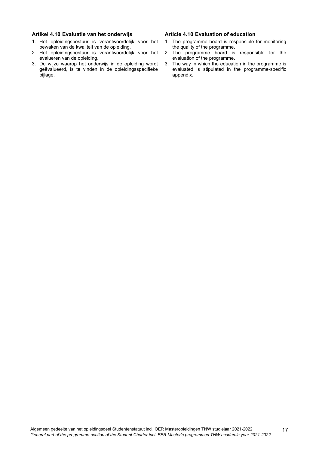#### <span id="page-16-0"></span>**Artikel 4.10 Evaluatie van het onderwijs**

- 1. Het opleidingsbestuur is verantwoordelijk voor het bewaken van de kwaliteit van de opleiding.
- 2. Het opleidingsbestuur is verantwoordelijk voor het evalueren van de opleiding.
- 3. De wijze waarop het onderwijs in de opleiding wordt geëvalueerd, is te vinden in de opleidingsspecifieke bijlage.

#### <span id="page-16-1"></span>**Article 4.10 Evaluation of education**

- 1. The programme board is responsible for monitoring the quality of the programme.
- 2. The programme board is responsible for the evaluation of the programme.
- 3. The way in which the education in the programme is evaluated is stipulated in the programme-specific appendix.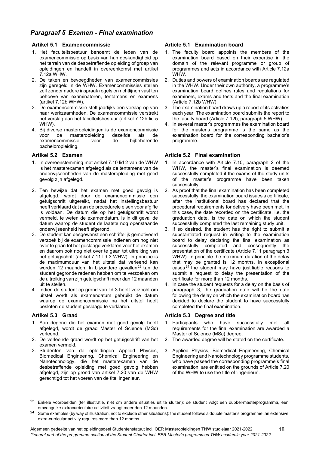# <span id="page-17-0"></span>*Paragraaf 5 Examen - Final examination*

# <span id="page-17-1"></span>**Artikel 5.1 Examencommissie**

- 1. Het faculteitsbestuur benoemt de leden van de examencommissie op basis van hun deskundigheid op het terrein van de desbetreffende opleiding of groep van opleidingen en handelt in overeenkomst met artikel 7.12a WHW.
- 2. De taken en bevoegdheden van examencommissies zijn geregeld in de WHW. Examencommissies stellen zelf zonder nadere inspraak regels en richtlijnen vast ten behoeve van examinatoren, tentamens en examens (artikel 7.12b WHW).
- 3. De examencommissie stelt jaarlijks een verslag op van haar werkzaamheden. De examencommissie verstrekt het verslag aan het faculteitsbestuur (artikel 7.12b lid 5 WHW).
- 4. Bij diverse masteropleidingen is de examencommissie de masteropleiding dezelfde als de<br>encommissie voor de bijbehorende examencommissie voor de bacheloropleiding.

# <span id="page-17-3"></span>**Artikel 5.2 Examen**

- 1. In overeenstemming met artikel 7.10 lid 2 van de WHW is het masterexamen afgelegd als de tentamens van de onderwijseenheden van de masteropleiding met goed gevolg zijn afgelegd.
- 2. Ten bewijze dat het examen met goed gevolg is afgelegd, wordt door de examencommissie een getuigschrift uitgereikt, nadat het instellingsbestuur heeft verklaard dat aan de procedurele eisen voor afgifte is voldaan. De datum die op het getuigschrift wordt vermeld, te weten de examendatum, is in dit geval de datum waarop de student de laatste nog openstaande onderwijseenheid heeft afgerond.
- 3. De student kan desgewenst een schriftelijk gemotiveerd verzoek bij de examencommissie indienen om nog niet over te gaan tot het geslaagd verklaren voor het examen en daarom ook nog niet over te gaan tot uitreiking van het getuigschrift (artikel 7.11 lid 3 WHW). In principe is de maximumduur van het uitstel dat verleend kan worden 12 maanden. In bijzondere gevallen<sup>[23](#page-17-7)</sup> kan de student gegronde redenen hebben om te verzoeken om de uitreiking van zijn getuigschrift meer dan 12 maanden uit te stellen.
- 4. Indien de student op grond van lid 3 heeft verzocht om uitstel wordt als examendatum gebruikt de datum waarop de examencommissie na het uitstel heeft besloten de student geslaagd te verklaren.

# <span id="page-17-5"></span>**Artikel 5.3 Graad**

- 1. Aan degene die het examen met goed gevolg heeft afgelegd, wordt de graad Master of Science (MSc) verleend.
- 2. De verleende graad wordt op het getuigschrift van het examen vermeld.
- 3. Studenten van de opleidingen Applied Physics, Biomedical Engineering, Chemical Engineering en Nanotechnology, die het masterexamen van de desbetreffende opleiding met goed gevolg hebben afgelegd, zijn op grond van artikel 7.20 van de WHW gerechtigd tot het voeren van de titel ingenieur.

### <span id="page-17-2"></span>**Article 5.1 Examination board**

- 1. The faculty board appoints the members of the examination board based on their expertise in the domain of the relevant programme or group of programmes and acts in accordance with Article 7.12a WHW.
- 2. Duties and powers of examination boards are regulated in the WHW. Under their own authority, a programme's examination board defines rules and regulations for examiners, exams and tests and the final examination (Article 7.12b WHW).
- 3. The examination board draws up a report of its activities each year. The examination board submits the report to the faculty board (Article 7.12b, paragraph 5 WHW).
- 4. In several master's programmes the examination board for the master's programme is the same as the examination board for the corresponding bachelor's programme.

# <span id="page-17-4"></span>**Article 5.2 Final examination**

- 1. In accordance with Article 7.10, paragraph 2 of the WHW, the master's final examination is deemed successfully completed if the exams of the study units of the master's programme have been taken successfully.
- 2. As proof that the final examination has been completed successfully, the examination board issues a certificate, after the institutional board has declared that the procedural requirements for delivery have been met. In this case, the date recorded on the certificate, i.e. the graduation date, is the date on which the student successfully completed the last remaining study unit.
- 3. If so desired, the student has the right to submit a substantiated request in writing to the examination board to delay declaring the final examination as successfully completed and consequently the presentation of the certificate (Article 7.11 paragraph 3 WHW). In principle the maximum duration of the delay that may be granted is 12 months. In exceptional cases<sup>[24](#page-17-8)</sup> the student may have justifiable reasons to submit a request to delay the presentation of the certificate for more than 12 months.
- 4. In case the student requests for a delay on the basis of paragraph 3, the graduation date will be the date following the delay on which the examination board has decided to declare the student to have successfully completed the final examination.

# <span id="page-17-6"></span>**Article 5.3 Degree and title**

- 1. Participants who have successfully met all requirements for the final examination are awarded a Master of Science (MSc) degree.
- 2. The awarded degree will be stated on the certificate.
- 3. Applied Physics, Biomedical Engineering, Chemical Engineering and Nanotechnology programme students, who have passed the corresponding programme's final examination, are entitled on the grounds of Article 7.20 of the WHW to use the title of 'ingenieur'.

<span id="page-17-7"></span><sup>&</sup>lt;sup>23</sup> Enkele voorbeelden (ter illustratie, niet om andere situaties uit te sluiten): de student volgt een dubbel-masterprogramma, een omvangrijke extracurriculaire activiteit vraagt meer dan 12 maanden.

<span id="page-17-8"></span><sup>&</sup>lt;sup>24</sup> Some examples (by way of illustration, not to exclude other situations): the student follows a double master's programme, an extensive extra-curricular activity requires more than 12 months.

Algemeen gedeelte van het opleidingsdeel Studentenstatuut incl. OER Masteropleidingen TNW studiejaar 2021-2022 *General part of the programme-section of the Student Charter incl. EER Master's programmes TNW academic year 2021-2022*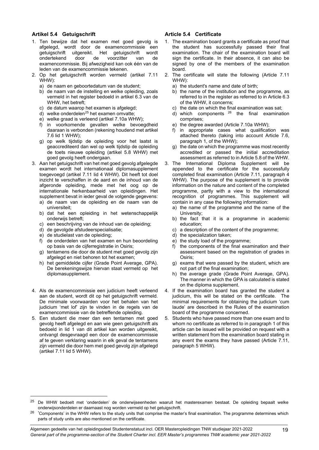# <span id="page-18-0"></span>**Artikel 5.4 Getuigschrift**

- 1. Ten bewijze dat het examen met goed gevolg is afgelegd, wordt door de examencommissie een<br>getuigschrift uitgereikt. Het getuigschrift wordt uitgereikt. Het getuigschrift wordt<br>door de voorzitter van de ondertekend door de voorzitter van de examencommissie. Bij afwezigheid kan ook één van de leden van de examencommissie tekenen.
- 2. Op het getuigschrift worden vermeld (artikel 7.11 WHW):
	- a) de naam en geboortedatum van de student;
	- b) de naam van de instelling en welke opleiding, zoals vermeld in het register bedoeld in artikel 6.3 van de WHW, het betreft;
	- c) de datum waarop het examen is afgelegd;
	- d) welke onderdelen<sup>[25](#page-18-3)</sup> het examen omvatte;
	- e) welke graad is verleend (artikel 7.10a WHW);
	- f) in voorkomende gevallen welke bevoegdheid daaraan is verbonden (rekening houdend met artikel 7.6 lid 1 WHW);
	- g) op welk tijdstip de opleiding voor het laatst is geaccrediteerd dan wel op welk tijdstip de opleiding de toets nieuwe opleiding (artikel 5.8 WHW) met goed gevolg heeft ondergaan.
- 3. Aan het getuigschrift van het met goed gevolg afgelegde examen wordt het internationaal diplomasupplement toegevoegd (artikel 7.11 lid 4 WHW). Dit heeft tot doel inzicht te verschaffen in de aard en de inhoud van de afgeronde opleiding, mede met het oog op de internationale herkenbaarheid van opleidingen. Het supplement bevat in ieder geval de volgende gegevens:
	- a) de naam van de opleiding en de naam van de universiteit;
	- b) dat het een opleiding in het wetenschappelijk onderwijs betreft;
	- c) een beschrijving van de inhoud van de opleiding;
	- d) de gevolgde afstudeerspecialisatie;
	- e) de studielast van de opleiding;
	- f) de onderdelen van het examen en hun beoordeling op basis van de cijferregistratie in Osiris;
	- g) tentamens die door de student met goed gevolg zijn afgelegd en niet behoren tot het examen;
	- h) het gemiddelde cijfer (Grade Point Average, GPA). De berekeningswijze hiervan staat vermeld op het diplomasupplement.
- 4. Als de examencommissie een judicium heeft verleend aan de student, wordt dit op het getuigschrift vermeld. De minimale voorwaarden voor het behalen van het judicium 'met lof' zijn te vinden in de regels van de examencommissie van de betreffende opleiding.
- 5. Een student die meer dan een tentamen met goed gevolg heeft afgelegd en aan wie geen getuigschrift als bedoeld in lid 1 van dit artikel kan worden uitgereikt, ontvangt desgevraagd een door de examencommissie af te geven verklaring waarin in elk geval de tentamens zijn vermeld die door hem met goed gevolg zijn afgelegd (artikel 7.11 lid 5 WHW).

#### <span id="page-18-1"></span>**Article 5.4 Certificate**

- 1. The examination board grants a certificate as proof that the student has successfully passed their final examination. The chair of the examination board will sign the certificate. In their absence, it can also be signed by one of the members of the examination board.
- 2. The certificate will state the following (Article 7.11 WHW):
	- a) the student's name and date of birth;
	- b) the name of the institution and the programme, as referred to in the register as referred to in Article 6.3 of the WHW, it concerns;
	- c) the date on which the final examination was sat;
	- $(d)$  which components  $26$  the final examination comprises;
	- e) the degree awarded (Article 7.10a WHW);
	- f) in appropriate cases what qualification was attached thereto (taking into account Article 7.6, paragraph 1, of the WHW);
	- g) the date on which the programme was most recently accredited or passed the initial accreditation assessment as referred to in Article 5.8 of the WHW.
- 3. The International Diploma Supplement will be appended to the certificate for the successfully completed final examination (Article 7.11, paragraph 4 WHW). The purpose of the supplement is to provide information on the nature and content of the completed programme, partly with a view to the international recognition of programmes. This supplement will contain in any case the following information:
	- a) the name of the programme and the name of the University;
	- b) the fact that it is a programme in academic education;
	- c) a description of the content of the programme;
	- d) the specialization taken;
	- e) the study load of the programme;
	- f) the components of the final examination and their assessment based on the registration of grades in Osiris;
	- g) exams that were passed by the student, which are not part of the final examination;
	- h) the average grade (Grade Point Average, GPA). The manner in which the GPA is calculated is stated on the diploma supplement.
- 4. If the examination board has granted the student a judicium, this will be stated on the certificate. The minimal requirements for obtaining the judicium 'cum laude' are described in the Rules of the examination board of the programme concerned.
- 5. Students who have passed more than one exam and to whom no certificate as referred to in paragraph 1 of this article can be issued will be provided on request with a written statement from the examination board stating in any event the exams they have passed (Article 7.11, paragraph 5 WHW).

<span id="page-18-3"></span><span id="page-18-2"></span><sup>&</sup>lt;sup>25</sup> De WHW bedoelt met 'onderdelen' de onderwijseenheden waaruit het masterexamen bestaat. De opleiding bepaalt welke onderwijsonderdelen er daarnaast nog worden vermeld op het getuigschrift.

<span id="page-18-4"></span><sup>&</sup>lt;sup>26</sup> 'Components' in the WHW refers to the study units that comprise the master's final examination. The programme determines which parts of study units are also mentioned on the certificate.

Algemeen gedeelte van het opleidingsdeel Studentenstatuut incl. OER Masteropleidingen TNW studiejaar 2021-2022 *General part of the programme-section of the Student Charter incl. EER Master's programmes TNW academic year 2021-2022*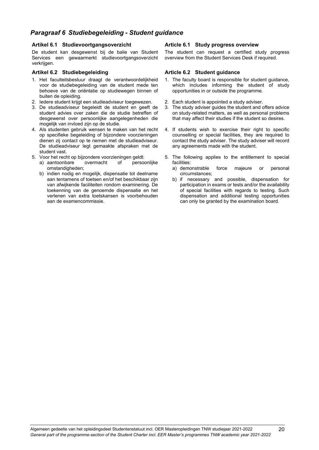# *Paragraaf 6 Studiebegeleiding - Student guidance*

# <span id="page-19-0"></span>**Artikel 6.1 Studievoortgangsoverzicht**

De student kan desgewenst bij de balie van Student Services een gewaarmerkt studievoortgangsoverzicht verkrijgen.

# <span id="page-19-2"></span>**Artikel 6.2 Studiebegeleiding**

- 1. Het faculteitsbestuur draagt de verantwoordelijkheid voor de studiebegeleiding van de student mede ten behoeve van de oriëntatie op studiewegen binnen of buiten de opleiding.
- 2. Iedere student krijgt een studieadviseur toegewezen.
- 3. De studieadviseur begeleidt de student en geeft de student advies over zaken die de studie betreffen of desgewenst over persoonlijke aangelegenheden die mogelijk van invloed zijn op de studie.
- 4. Als studenten gebruik wensen te maken van het recht op specifieke begeleiding of bijzondere voorzieningen dienen zij contact op te nemen met de studieadviseur. De studieadviseur legt gemaakte afspraken met de student vast.
- 
- 5. Voor het recht op bijzondere voorzieningen geldt: a) aantoonbare omstandigheden;
	- b) indien nodig en mogelijk, dispensatie tot deelname aan tentamens of toetsen en/of het beschikbaar zijn van afwijkende faciliteiten rondom examinering. De toekenning van de genoemde dispensatie en het verlenen van extra toetskansen is voorbehouden aan de examencommissie.

# <span id="page-19-1"></span>**Article 6.1 Study progress overview**

The student can request a certified study progress overview from the Student Services Desk if required.

# <span id="page-19-3"></span>**Article 6.2 Student guidance**

- 1. The faculty board is responsible for student guidance, which includes informing the student of study opportunities in or outside the programme.
- 2. Each student is appointed a study adviser.<br>3. The study adviser guides the student and c
- The study adviser guides the student and offers advice on study-related matters, as well as personal problems that may affect their studies if the student so desires.
- 4. If students wish to exercise their right to specific counselling or special facilities, they are required to contact the study adviser. The study adviser will record any agreements made with the student.
- 5. The following applies to the entitlement to special facilities:
	- a) demonstrable force majeure or personal circumstances;
	- b) if necessary and possible, dispensation for participation in exams or tests and/or the availability of special facilities with regards to testing. Such dispensation and additional testing opportunities can only be granted by the examination board.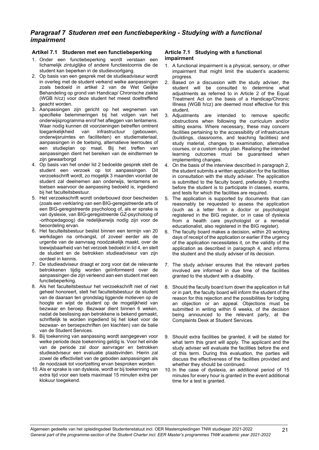# <span id="page-20-0"></span>*Paragraaf 7 Studeren met een functiebeperking - Studying with a functional impairment*

# <span id="page-20-1"></span>**Artikel 7.1 Studeren met een functiebeperking**

- 1. Onder een functiebeperking wordt verstaan een lichamelijk zintuiglijke of andere functiestoornis die de student kan beperken in de studievoortgang.
- 2. Op basis van een gesprek met de studieadviseur wordt in overleg met de student verkend welke aanpassingen zoals bedoeld in artikel 2 van de Wet Gelijke Behandeling op grond van Handicap/ Chronische ziekte (WGB h/cz) voor deze student het meest doeltreffend geacht worden.
- 3. Aanpassingen zijn gericht op het wegnemen van specifieke belemmeringen bij het volgen van het onderwijsprogramma en/of het afleggen van tentamens. Waar nodig kunnen dit voorzieningen betreffen omtrent<br>toegankelijkheid van infrastructuur (gebouwen, toegankelijkheid van infrastructuur (gebouwen, onderwijsruimtes en faciliteiten) en studiemateriaal, aanpassingen in de toetsing, alternatieve leerroutes of een studieplan op maat. Bij het treffen van aanpassingen dient het bereiken van de eindtermen te zijn gewaarborgd
- 4. Op basis van het onder lid 2 bedoelde gesprek stelt de student een verzoek op tot aanpassingen. Dit verzoekschrift wordt, zo mogelijk 3 maanden voordat de student zal deelnemen aan onderwijs, tentamens en toetsen waarvoor de aanpassing bedoeld is, ingediend bij het faculteitsbestuur.
- 5. Het verzoekschrift wordt onderbouwd door bescheiden (zoals een verklaring van een BIG-geregistreerde arts of een BIG-geregistreerde psycholoog of, als er sprake is van dyslexie, van BIG-geregistreerde GZ-psycholoog of -orthopedagoog) die redelijkerwijs nodig zijn voor de beoordeling ervan.
- 6. Het faculteitsbestuur beslist binnen een termijn van 20 werkdagen na ontvangst, of zoveel eerder als de urgentie van de aanvraag noodzakelijk maakt, over de toewijsbaarheid van het verzoek bedoeld in lid 4, en stelt de student en de betrokken studieadviseur van zijn oordeel in kennis.
- 7. De studieadviseur draagt er zorg voor dat de relevante betrokkenen tijdig worden geïnformeerd over de aanpassingen die zijn verleend aan een student met een functiebeperking.
- 8. Als het faculteitsbestuur het verzoekschrift niet of niet geheel honoreert, stelt het faculteitsbestuur de student van de daaraan ten grondslag liggende motieven op de hoogte en wijst de student op de mogelijkheid van bezwaar en beroep. Bezwaar dient binnen 6 weken, nadat de beslissing aan betrokkene is bekend gemaakt, schriftelijk te worden ingediend bij het loket voor de bezwaar- en beroepschriften (en klachten) van de balie van de Student Services.
- 9. Bij toekenning van aanpassing wordt aangegeven voor welke periode deze toekenning geldig is. Voor het einde van de periode zal door aanvrager en betrokken studieadviseur een evaluatie plaatsvinden. Hierin zal zowel de effectiviteit van de geboden aanpassingen als de noodzaak tot voortzetting ervan besproken worden.
- 10. Als er sprake is van dyslexie, wordt er bij toekenning van extra tijd voor een toets maximaal 15 minuten extra per klokuur toegekend.

# <span id="page-20-2"></span>**Article 7.1 Studying with a functional impairment**

- 1. A functional impairment is a physical, sensory, or other impairment that might limit the student's academic progress.
- Based on a discussion with the study adviser, the student will be consulted to determine what adjustments as referred to in Article 2 of the Equal Treatment Act on the basis of a Handicap/Chronic Illness (WGB h/cz) are deemed most effective for this student.
- 3. Adjustments are intended to remove specific obstructions when following the curriculum and/or sitting exams. Where necessary, these may concern facilities pertaining to the accessibility of infrastructure (buildings, classrooms, and teaching facilities) and study material, changes to examination, alternative courses, or a custom study plan. Realising the intended learning outcomes must be guaranteed when implementing changes.
- 4. On the basis of the interview described in paragraph 2, the student submits a written application for the facilities in consultation with the study adviser. The application is submitted to the faculty board, preferably 3 months before the student is to participate in classes, exams, and tests for which the facilities are required.
- 5. The application is supported by documents that can reasonably be requested to assess the application (such as a letter from a doctor or psychologist registered in the BIG register, or in case of dyslexia from a health care psychologist or a remedial educationalist, also registered in the BIG register).
- 6. The faculty board makes a decision, within 20 working days of receipt of the application or earlier if the urgency of the application necessitates it, on the validity of the application as described in paragraph 4, and informs the student and the study adviser of its decision.
- 7. The study adviser ensures that the relevant parties involved are informed in due time of the facilities granted to the student with a disability.
- 8. Should the faculty board turn down the application in full or in part, the faculty board will inform the student of the reason for this rejection and the possibilities for lodging an objection or an appeal. Objections must be submitted in writing within 6 weeks, of the decision being announced to the relevant party, at the Complaints Desk at Student Services.
- 9. Should extra facilities be granted, it will be stated for what term this grant will apply. The applicant and the study adviser will evaluate the facilities before the end of this term. During this evaluation, the parties will discuss the effectiveness of the facilities provided and whether they should be continued.
- 10. In the case of dyslexia, an additional period of 15 minutes for every hour is granted in the event additional time for a test is granted.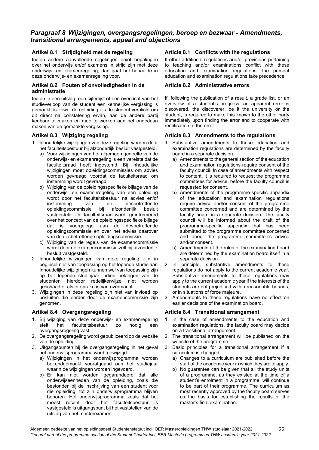# <span id="page-21-0"></span>*Paragraaf 8 Wijzigingen, overgangsregelingen, beroep en bezwaar - Amendments, transitional arrangements, appeal and objections*

# <span id="page-21-1"></span>**Artikel 8.1 Strijdigheid met de regeling**

Indien andere aanvullende regelingen en/of bepalingen over het onderwijs en/of examens in strijd zijn met deze onderwijs- en examenregeling, dan gaat het bepaalde in deze onderwijs- en examenregeling voor.

### <span id="page-21-3"></span>**Artikel 8.2 Fouten of onvolledigheden in de administratie**

Indien in een uitslag, een cijferlijst of een overzicht van het studieverloop van de student een kennelijke vergissing is gemaakt, is zowel de opleiding als de student verplicht om dit direct na constatering ervan, aan de andere partij kenbaar te maken en mee te werken aan het ongedaan maken van de gemaakte vergissing.

# <span id="page-21-5"></span>**Artikel 8.3 Wijziging regeling**

- 1. Inhoudelijke wijzigingen van deze regeling worden door het faculteitsbestuur bij afzonderlijk besluit vastgesteld.
	- a) Voor wijzigingen van het algemeen gedeelte van de onderwijs- en examenregeling is een vereiste dat de faculteitsraad heeft ingestemd. Bij inhoudelijke wijzigingen moet opleidingscommissies om advies worden gevraagd voordat de faculteitsraad om instemming wordt gevraagd.
	- b) Wijziging van de opleidingsspecifieke bijlage van de onderwijs- en examenregeling van een opleiding wordt door het faculteitsbestuur na advies en/of<br>instemming van de desbetreffende de desbetreffende<br>bij afzonderlijk besluit opleidingscommissie bij afzonderlijk besluit vastgesteld. De faculteitsraad wordt geïnformeerd over het concept van de opleidingsspecifieke bijlage dat is voorgelegd aan de desbetreffende opleidingscommissie en over het advies daarover van de desbetreffende opleidingscommissie.
	- c) Wijziging van de regels van de examencommissie wordt door de examencommissie zelf bij afzonderlijk besluit vastgesteld.
- 2. Inhoudelijke wijzigingen van deze regeling zijn in beginsel niet van toepassing op het lopende studiejaar. Inhoudelijke wijzigingen kunnen wel van toepassing zijn op het lopende studiejaar indien belangen van de studenten hierdoor redelijkerwijze niet worden geschaad of als er sprake is van overmacht.
- 3. Wijzigingen in deze regeling zijn niet van invloed op besluiten die eerder door de examencommissie zijn genomen.

# <span id="page-21-7"></span>**Artikel 8.4 Overgangsregeling**

- 1. Bij wijziging van deze onderwijs- en examenregeling faculteitsbestuur zo nodig een overgangsregeling vast.
- 2. De overgangsregeling wordt gepubliceerd op de website van de opleiding.
- 3. Uitgangspunten bij de overgangsregeling in het geval het onderwijsprogramma wordt gewijzigd:
	- a) Wijzigingen in het onderwijsprogramma worden bekendgemaakt voorafgaand aan het studiejaar waarin de wijzigingen worden ingevoerd.
	- b) Er kan niet worden gegarandeerd dat alle onderwijseenheden van de opleiding, zoals die bestonden bij de inschrijving van een student voor die opleiding, tot zijn onderwijsprogramma blijven behoren. Het onderwijsprogramma zoals dat het meest recent door het faculteitsbestuur is vastgesteld is uitgangspunt bij het vaststellen van de uitslag van het masterexamen.

# <span id="page-21-2"></span>**Article 8.1 Conflicts with the regulations**

If other additional regulations and/or provisions pertaining to teaching and/or examinations conflict with these education and examination regulations, the present education and examination regulations take precedence.

### <span id="page-21-4"></span>**Article 8.2 Administrative errors**

If, following the publication of a result, a grade list, or an overview of a student's progress, an apparent error is discovered, the discoverer, be it the university or the student, is required to make this known to the other party immediately upon finding the error and to cooperate with rectification of the error.

# <span id="page-21-6"></span>**Article 8.3 Amendments to the regulations**

- 1. Substantive amendments to these education and examination regulations are determined by the faculty board in a separate decision.
	- a) Amendments to the general section of the education and examination regulations require consent of the faculty council. In case of amendments with respect to content, it is required to request the programme committees for advice, before the faculty council is requested for consent.
	- b) Amendments of the programme-specific appendix of the education and examination regulations require advice and/or consent of the programme committee concerned and are determined by the faculty board in a separate decision. The faculty council will be informed about the draft of the programme-specific appendix that has been submitted to the programme committee concerned and about the programme committee's advice and/or consent.
	- c) Amendments of the rules of the examination board are determined by the examination board itself in a separate decision.
- 2. In principle, substantive amendments to these regulations do not apply to the current academic year. Substantive amendments to these regulations may apply to the current academic year if the interests of the students are not prejudiced within reasonable bounds, or in situations of force majeure.
- 3. Amendments to these regulations have no effect on earlier decisions of the examination board.

### <span id="page-21-8"></span>**Article 8.4 Transitional arrangement**

- 1. In the case of amendments to the education and examination regulations, the faculty board may decide on a transitional arrangement.
- 2. The transitional arrangement will be published on the website of the programme.
- 3. Basic principles for a transitional arrangement if a curriculum is changed:
	- a) Changes to a curriculum are published before the start of the academic year in which they are to apply.
	- b) No guarantee can be given that all the study units of a programme, as they existed at the time of a student's enrolment in a programme, will continue to be part of their programme. The curriculum as most recently approved by the faculty board serves as the basis for establishing the results of the master's final examination.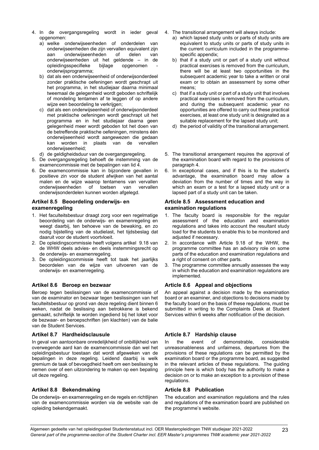- 4. In de overgangsregeling wordt in ieder geval opgenomen:
	- a) welke onderwijseenheden of onderdelen van onderwijseenheden die zijn vervallen equivalent zijn onderwijseenheden onderwijseenheden uit het geldende – in de opleidingsspecifieke bijlage opgenomen onderwijsprogramma;
	- b) dat als een onderwijseenheid of onderwijsonderdeel zonder praktische oefeningen wordt geschrapt uit het programma, in het studiejaar daarna minimaal tweemaal de gelegenheid wordt geboden schriftelijk of mondeling tentamen af te leggen of op andere wijze een beoordeling te verkrijgen;
	- c) dat als een onderwijseenheid of onderwijsonderdeel met praktische oefeningen wordt geschrapt uit het programma en in het studiejaar daarna geen gelegenheid meer wordt geboden tot het doen van de betreffende praktische oefeningen, minstens één onderwijseenheid wordt aangewezen die gedaan<br>kan worden in plaats van de vervallen kan worden in plaats onderwijseenheid;
	- d) de geldigheidsduur van de overgangsregeling.
- 5. De overgangsregeling behoeft de instemming van de examencommissie met de bepalingen van lid 4.
- 6. De examencommissie kan in bijzondere gevallen in positieve zin voor de student afwijken van het aantal malen en de wijze waarop tentamens van vervallen<br>onderwijseenheden of toetsen van vervallen onderwijseenheden onderwijsonderdelen kunnen worden afgelegd.

# <span id="page-22-0"></span>**Artikel 8.5 Beoordeling onderwijs- en examenregeling**

- 1. Het faculteitsbestuur draagt zorg voor een regelmatige beoordeling van de onderwijs- en examenregeling en weegt daarbij, ten behoeve van de bewaking, en zo nodig bijstelling van de studielast, het tijdsbeslag dat daaruit voor de student voortvloeit.
- 2. De opleidingscommissie heeft volgens artikel 9.18 van de WHW deels advies- en deels instemmingsrecht op de onderwijs- en examenregeling.
- 3. De opleidingscommissie heeft tot taak het jaarlijks beoordelen van de wijze van uitvoeren van de onderwijs- en examenregeling.

# <span id="page-22-2"></span>**Artikel 8.6 Beroep en bezwaar**

Beroep tegen beslissingen van de examencommissie of van de examinator en bezwaar tegen beslissingen van het faculteitsbestuur op grond van deze regeling dient binnen 6 weken, nadat de beslissing aan betrokkene is bekend gemaakt, schriftelijk te worden ingediend bij het loket voor de bezwaar- en beroepschriften (en klachten) van de balie van de Student Services.

### <span id="page-22-4"></span>**Artikel 8.7 Hardheidsclausule**

In geval van aantoonbare onredelijkheid of onbillijkheid van overwegende aard kan de examencommissie dan wel het opleidingsbestuur toestaan dat wordt afgeweken van de bepalingen in deze regeling. Leidend daarbij is welk gremium de taak of bevoegdheid heeft om een beslissing te nemen over of een uitzondering te maken op een bepaling uit deze regeling.

### <span id="page-22-6"></span>**Artikel 8.8 Bekendmaking**

De onderwijs- en examenregeling en de regels en richtlijnen van de examencommissie worden via de website van de opleiding bekendgemaakt.

- 4. The transitional arrangement will always include:
	- a) which lapsed study units or parts of study units are equivalent to study units or parts of study units in the current curriculum included in the programmespecific appendix;
	- b) that if a study unit or part of a study unit without practical exercises is removed from the curriculum, there will be at least two opportunities in the subsequent academic year to take a written or oral exam or to obtain an assessment by some other means;
	- c) that if a study unit or part of a study unit that involves practical exercises is removed from the curriculum, and during the subsequent academic year no opportunities are offered to carry out these practical exercises, at least one study unit is designated as a suitable replacement for the lapsed study unit;
	- d) the period of validity of the transitional arrangement.
- 5. The transitional arrangement requires the approval of the examination board with regard to the provisions of paragraph 4.
- 6. In exceptional cases, and if this is to the student's advantage, the examination board may allow a deviation from the number of times and the way in which an exam or a test for a lapsed study unit or a lapsed part of a study unit can be taken.

### <span id="page-22-1"></span>**Article 8.5 Assessment education and examination regulations**

- 1. The faculty board is responsible for the regular assessment of the education and examination regulations and takes into account the resultant study load for the students to enable this to be monitored and adjusted if necessary.
- 2. In accordance with Article 9.18 of the WHW, the programme committee has an advisory role on some parts of the education and examination regulations and a right of consent on other parts.
- 3. The programme committee annually assesses the way in which the education and examination regulations are implemented.

# <span id="page-22-3"></span>**Article 8.6 Appeal and objections**

An appeal against a decision made by the examination board or an examiner, and objections to decisions made by the faculty board on the basis of these regulations, must be submitted in writing to the Complaints Desk at Student Services within 6 weeks after notification of the decision.

# <span id="page-22-5"></span>**Article 8.7 Hardship clause**

In the event of demonstrable, considerable unreasonableness and unfairness, departures from the provisions of these regulations can be permitted by the examination board or the programme board, as suggested in the relevant articles of these regulations. The guiding principle here is which body has the authority to make a decision on or to make an exception to a provision of these regulations.

### <span id="page-22-7"></span>**Article 8.8 Publication**

The education and examination regulations and the rules and regulations of the examination board are published on the programme's website.